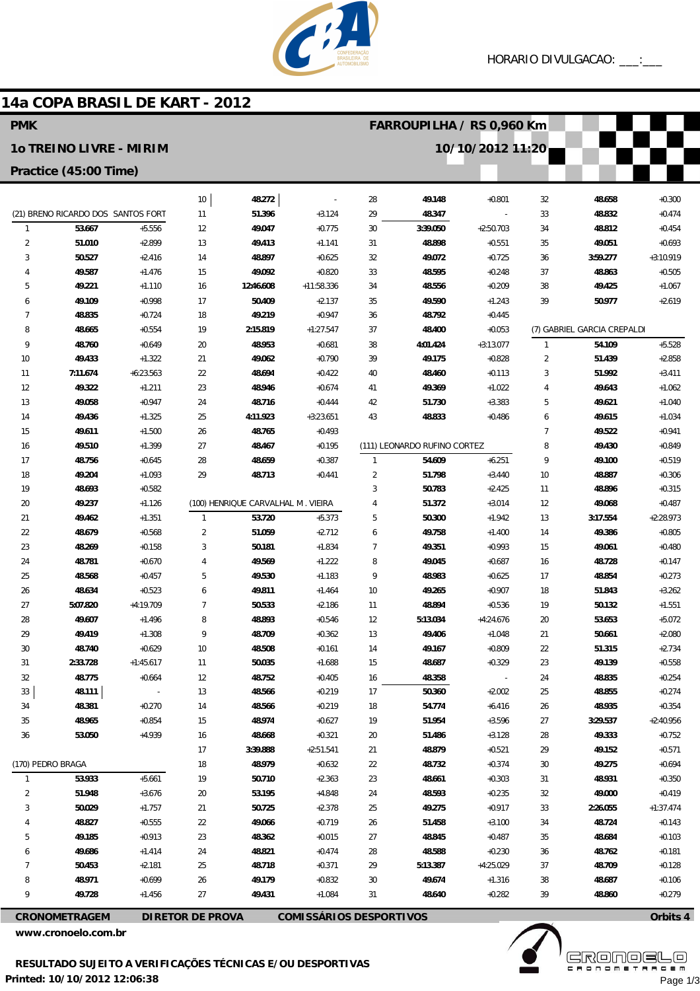

### 14a COPA BRASIL DE KART - 2012

| 10/10/2012 11:20<br><b>10 TREINO LIVRE - MIRIM</b><br>Practice (45:00 Time)<br>$10$<br>48.272<br>28<br>49.148<br>$+0.801$<br>32<br>48.658<br>$+0.300$<br>(21) BRENO RICARDO DOS SANTOS FORT<br>51.396<br>$+3.124$<br>29<br>48.347<br>33<br>48.832<br>$+0.474$<br>11<br>$+5.556$<br>$\mathbf{1}$<br>53.667<br>12<br>49.047<br>$+0.775$<br>30<br>3:39.050<br>$+2:50.703$<br>48.812<br>$+0.454$<br>34<br>$\overline{2}$<br>$+2.899$<br>$+0.551$<br>49.051<br>51.010<br>13<br>49.413<br>$+1.141$<br>31<br>48.898<br>35<br>$+0.693$<br>$+2.416$<br>48.897<br>49.072<br>$+0.725$<br>3:59.277<br>$+3:10.919$<br>3<br>50.527<br>14<br>$+0.625$<br>32<br>36<br>$+0.820$<br>48.595<br>$+0.248$<br>$+0.505$<br>49.587<br>$+1.476$<br>15<br>49.092<br>33<br>37<br>48.863<br>4<br>$+11:58.336$<br>48.556<br>$+0.209$<br>$+1.067$<br>5<br>49.221<br>$+1.110$<br>16<br>12:46.608<br>34<br>38<br>49.425<br>49.109<br>$+0.998$<br>50.409<br>$+2.137$<br>49.590<br>39<br>50.977<br>$+2.619$<br>17<br>35<br>$+1.243$<br>6<br>18<br>49.219<br>$+0.947$<br>7<br>48.835<br>$+0.724$<br>36<br>48.792<br>$+0.445$<br>(7) GABRIEL GARCIA CREPALDI<br>8<br>48.665<br>$+0.554$<br>19<br>2:15.819<br>$+1:27.547$<br>37<br>48.400<br>$+0.053$<br>54.109<br>$+5.528$<br>9<br>48.760<br>$+0.649$<br>20<br>48.953<br>$+0.681$<br>38<br>4:01.424<br>$+3:13.077$<br>$\mathbf{1}$<br>$\overline{2}$<br>10<br>49.433<br>$+1.322$<br>21<br>49.062<br>$+0.790$<br>39<br>49.175<br>$+0.828$<br>51.439<br>$+2.858$<br>22<br>48.694<br>3<br>11<br>7:11.674<br>$+6:23.563$<br>$+0.422$<br>40<br>48.460<br>$+0.113$<br>51.992<br>$+3.411$<br>12<br>23<br>49.322<br>$+1.211$<br>48.946<br>$+0.674$<br>49.369<br>$+1.022$<br>4<br>49.643<br>$+1.062$<br>41<br>5<br>13<br>49.058<br>$+0.947$<br>24<br>48.716<br>$+0.444$<br>42<br>51.730<br>$+3.383$<br>49.621<br>$+1.040$<br>25<br>43<br>$+0.486$<br>14<br>49.436<br>$+1.325$<br>4:11.923<br>$+3:23.651$<br>48.833<br>6<br>49.615<br>$+1.034$<br>48.765<br>$\overline{7}$<br>15<br>49.611<br>$+1.500$<br>26<br>$+0.493$<br>49.522<br>$+0.941$<br>49.510<br>$+1.399$<br>27<br>48.467<br>$+0.195$<br>(111) LEONARDO RUFINO CORTEZ<br>8<br>49.430<br>$+0.849$<br>16<br>28<br>48.659<br>$+6.251$<br>9<br>$+0.519$<br>17<br>48.756<br>$+0.645$<br>$+0.387$<br>$\mathbf{1}$<br>54.609<br>49.100<br>$+1.093$<br>29<br>48.713<br>$\overline{2}$<br>51.798<br>$+3.440$<br>48.887<br>18<br>49.204<br>$+0.441$<br>10<br>$+0.306$<br>$+0.582$<br>48.896<br>19<br>48.693<br>3<br>50.783<br>$+2.425$<br>11<br>$+0.315$<br>20<br>49.237<br>$+1.126$<br>(100) HENRIQUE CARVALHAL M. VIEIRA<br>51.372<br>$+3.014$<br>12<br>49.068<br>$+0.487$<br>4<br>21<br>$+1.351$<br>$\mathbf{1}$<br>53.720<br>$+5.373$<br>5<br>50.300<br>$+1.942$<br>3:17.554<br>$+2:28.973$<br>49.462<br>13<br>22<br>$\overline{2}$<br>51.059<br>$+2.712$<br>49.386<br>$+0.805$<br>48.679<br>$+0.568$<br>6<br>49.758<br>$+1.400$<br>14<br>23<br>48.269<br>$+0.158$<br>3<br>50.181<br>$+1.834$<br>49.351<br>$+0.993$<br>49.061<br>$+0.480$<br>7<br>15<br>$+0.670$<br>49.569<br>$+1.222$<br>48.728<br>$+0.147$<br>24<br>48.781<br>$\overline{4}$<br>8<br>49.045<br>$+0.687$<br>16<br>25<br>48.568<br>$+0.457$<br>5<br>49.530<br>$+1.183$<br>9<br>48.983<br>17<br>48.854<br>$+0.273$<br>$+0.625$<br>$+0.523$<br>49.811<br>49.265<br>$+0.907$<br>51.843<br>$+3.262$<br>26<br>48.634<br>6<br>$+1.464$<br>10<br>18<br>27<br>5:07.820<br>+4:19.709<br>$\overline{7}$<br>50.533<br>19<br>$+1.551$<br>$+2.186$<br>11<br>48.894<br>$+0.536$<br>50.132<br>28<br>49.607<br>$+1.496$<br>8<br>48.893<br>$+0.546$<br>12<br>5:13.034<br>$+4:24.676$<br>20<br>53.653<br>$+5.072$<br>29<br>9<br>48.709<br>$+0.362$<br>21<br>$+2.080$<br>49.419<br>$+1.308$<br>13<br>49.406<br>$+1.048$<br>50.661<br>48.740<br>$+0.629$<br>48.508<br>$+0.161$<br>49.167<br>$+0.809$<br>22<br>51.315<br>$+2.734$<br>30<br>10<br>14<br>$+0.329$<br>$+0.558$<br>31<br>2:33.728<br>$+1:45.617$<br>50.035<br>$+1.688$<br>15<br>48.687<br>23<br>49.139<br>11<br>32<br>48.775<br>48.752<br>$+0.405$<br>48.358<br>$+0.254$<br>$+0.664$<br>12<br>16<br>24<br>48.835<br>$\sim$ $-$ |
|----------------------------------------------------------------------------------------------------------------------------------------------------------------------------------------------------------------------------------------------------------------------------------------------------------------------------------------------------------------------------------------------------------------------------------------------------------------------------------------------------------------------------------------------------------------------------------------------------------------------------------------------------------------------------------------------------------------------------------------------------------------------------------------------------------------------------------------------------------------------------------------------------------------------------------------------------------------------------------------------------------------------------------------------------------------------------------------------------------------------------------------------------------------------------------------------------------------------------------------------------------------------------------------------------------------------------------------------------------------------------------------------------------------------------------------------------------------------------------------------------------------------------------------------------------------------------------------------------------------------------------------------------------------------------------------------------------------------------------------------------------------------------------------------------------------------------------------------------------------------------------------------------------------------------------------------------------------------------------------------------------------------------------------------------------------------------------------------------------------------------------------------------------------------------------------------------------------------------------------------------------------------------------------------------------------------------------------------------------------------------------------------------------------------------------------------------------------------------------------------------------------------------------------------------------------------------------------------------------------------------------------------------------------------------------------------------------------------------------------------------------------------------------------------------------------------------------------------------------------------------------------------------------------------------------------------------------------------------------------------------------------------------------------------------------------------------------------------------------------------------------------------------------------------------------------------------------------------------------------------------------------------------------------------------------------------------------------------------------------------------------------------------------------------------------------------------------------------------------------------------------------------------------------------------------------------------------------------------------------------------------------------------------------------------------------------------------------------------------------------------------------------------------------------------------------------------------------------------------------------------------------------------------------------------------------------------------------------------------------------------------------------------------------------------------------------------------------------|
|                                                                                                                                                                                                                                                                                                                                                                                                                                                                                                                                                                                                                                                                                                                                                                                                                                                                                                                                                                                                                                                                                                                                                                                                                                                                                                                                                                                                                                                                                                                                                                                                                                                                                                                                                                                                                                                                                                                                                                                                                                                                                                                                                                                                                                                                                                                                                                                                                                                                                                                                                                                                                                                                                                                                                                                                                                                                                                                                                                                                                                                                                                                                                                                                                                                                                                                                                                                                                                                                                                                                                                                                                                                                                                                                                                                                                                                                                                                                                                                                                                                                                              |
|                                                                                                                                                                                                                                                                                                                                                                                                                                                                                                                                                                                                                                                                                                                                                                                                                                                                                                                                                                                                                                                                                                                                                                                                                                                                                                                                                                                                                                                                                                                                                                                                                                                                                                                                                                                                                                                                                                                                                                                                                                                                                                                                                                                                                                                                                                                                                                                                                                                                                                                                                                                                                                                                                                                                                                                                                                                                                                                                                                                                                                                                                                                                                                                                                                                                                                                                                                                                                                                                                                                                                                                                                                                                                                                                                                                                                                                                                                                                                                                                                                                                                              |
|                                                                                                                                                                                                                                                                                                                                                                                                                                                                                                                                                                                                                                                                                                                                                                                                                                                                                                                                                                                                                                                                                                                                                                                                                                                                                                                                                                                                                                                                                                                                                                                                                                                                                                                                                                                                                                                                                                                                                                                                                                                                                                                                                                                                                                                                                                                                                                                                                                                                                                                                                                                                                                                                                                                                                                                                                                                                                                                                                                                                                                                                                                                                                                                                                                                                                                                                                                                                                                                                                                                                                                                                                                                                                                                                                                                                                                                                                                                                                                                                                                                                                              |
|                                                                                                                                                                                                                                                                                                                                                                                                                                                                                                                                                                                                                                                                                                                                                                                                                                                                                                                                                                                                                                                                                                                                                                                                                                                                                                                                                                                                                                                                                                                                                                                                                                                                                                                                                                                                                                                                                                                                                                                                                                                                                                                                                                                                                                                                                                                                                                                                                                                                                                                                                                                                                                                                                                                                                                                                                                                                                                                                                                                                                                                                                                                                                                                                                                                                                                                                                                                                                                                                                                                                                                                                                                                                                                                                                                                                                                                                                                                                                                                                                                                                                              |
|                                                                                                                                                                                                                                                                                                                                                                                                                                                                                                                                                                                                                                                                                                                                                                                                                                                                                                                                                                                                                                                                                                                                                                                                                                                                                                                                                                                                                                                                                                                                                                                                                                                                                                                                                                                                                                                                                                                                                                                                                                                                                                                                                                                                                                                                                                                                                                                                                                                                                                                                                                                                                                                                                                                                                                                                                                                                                                                                                                                                                                                                                                                                                                                                                                                                                                                                                                                                                                                                                                                                                                                                                                                                                                                                                                                                                                                                                                                                                                                                                                                                                              |
|                                                                                                                                                                                                                                                                                                                                                                                                                                                                                                                                                                                                                                                                                                                                                                                                                                                                                                                                                                                                                                                                                                                                                                                                                                                                                                                                                                                                                                                                                                                                                                                                                                                                                                                                                                                                                                                                                                                                                                                                                                                                                                                                                                                                                                                                                                                                                                                                                                                                                                                                                                                                                                                                                                                                                                                                                                                                                                                                                                                                                                                                                                                                                                                                                                                                                                                                                                                                                                                                                                                                                                                                                                                                                                                                                                                                                                                                                                                                                                                                                                                                                              |
|                                                                                                                                                                                                                                                                                                                                                                                                                                                                                                                                                                                                                                                                                                                                                                                                                                                                                                                                                                                                                                                                                                                                                                                                                                                                                                                                                                                                                                                                                                                                                                                                                                                                                                                                                                                                                                                                                                                                                                                                                                                                                                                                                                                                                                                                                                                                                                                                                                                                                                                                                                                                                                                                                                                                                                                                                                                                                                                                                                                                                                                                                                                                                                                                                                                                                                                                                                                                                                                                                                                                                                                                                                                                                                                                                                                                                                                                                                                                                                                                                                                                                              |
|                                                                                                                                                                                                                                                                                                                                                                                                                                                                                                                                                                                                                                                                                                                                                                                                                                                                                                                                                                                                                                                                                                                                                                                                                                                                                                                                                                                                                                                                                                                                                                                                                                                                                                                                                                                                                                                                                                                                                                                                                                                                                                                                                                                                                                                                                                                                                                                                                                                                                                                                                                                                                                                                                                                                                                                                                                                                                                                                                                                                                                                                                                                                                                                                                                                                                                                                                                                                                                                                                                                                                                                                                                                                                                                                                                                                                                                                                                                                                                                                                                                                                              |
|                                                                                                                                                                                                                                                                                                                                                                                                                                                                                                                                                                                                                                                                                                                                                                                                                                                                                                                                                                                                                                                                                                                                                                                                                                                                                                                                                                                                                                                                                                                                                                                                                                                                                                                                                                                                                                                                                                                                                                                                                                                                                                                                                                                                                                                                                                                                                                                                                                                                                                                                                                                                                                                                                                                                                                                                                                                                                                                                                                                                                                                                                                                                                                                                                                                                                                                                                                                                                                                                                                                                                                                                                                                                                                                                                                                                                                                                                                                                                                                                                                                                                              |
|                                                                                                                                                                                                                                                                                                                                                                                                                                                                                                                                                                                                                                                                                                                                                                                                                                                                                                                                                                                                                                                                                                                                                                                                                                                                                                                                                                                                                                                                                                                                                                                                                                                                                                                                                                                                                                                                                                                                                                                                                                                                                                                                                                                                                                                                                                                                                                                                                                                                                                                                                                                                                                                                                                                                                                                                                                                                                                                                                                                                                                                                                                                                                                                                                                                                                                                                                                                                                                                                                                                                                                                                                                                                                                                                                                                                                                                                                                                                                                                                                                                                                              |
|                                                                                                                                                                                                                                                                                                                                                                                                                                                                                                                                                                                                                                                                                                                                                                                                                                                                                                                                                                                                                                                                                                                                                                                                                                                                                                                                                                                                                                                                                                                                                                                                                                                                                                                                                                                                                                                                                                                                                                                                                                                                                                                                                                                                                                                                                                                                                                                                                                                                                                                                                                                                                                                                                                                                                                                                                                                                                                                                                                                                                                                                                                                                                                                                                                                                                                                                                                                                                                                                                                                                                                                                                                                                                                                                                                                                                                                                                                                                                                                                                                                                                              |
|                                                                                                                                                                                                                                                                                                                                                                                                                                                                                                                                                                                                                                                                                                                                                                                                                                                                                                                                                                                                                                                                                                                                                                                                                                                                                                                                                                                                                                                                                                                                                                                                                                                                                                                                                                                                                                                                                                                                                                                                                                                                                                                                                                                                                                                                                                                                                                                                                                                                                                                                                                                                                                                                                                                                                                                                                                                                                                                                                                                                                                                                                                                                                                                                                                                                                                                                                                                                                                                                                                                                                                                                                                                                                                                                                                                                                                                                                                                                                                                                                                                                                              |
|                                                                                                                                                                                                                                                                                                                                                                                                                                                                                                                                                                                                                                                                                                                                                                                                                                                                                                                                                                                                                                                                                                                                                                                                                                                                                                                                                                                                                                                                                                                                                                                                                                                                                                                                                                                                                                                                                                                                                                                                                                                                                                                                                                                                                                                                                                                                                                                                                                                                                                                                                                                                                                                                                                                                                                                                                                                                                                                                                                                                                                                                                                                                                                                                                                                                                                                                                                                                                                                                                                                                                                                                                                                                                                                                                                                                                                                                                                                                                                                                                                                                                              |
|                                                                                                                                                                                                                                                                                                                                                                                                                                                                                                                                                                                                                                                                                                                                                                                                                                                                                                                                                                                                                                                                                                                                                                                                                                                                                                                                                                                                                                                                                                                                                                                                                                                                                                                                                                                                                                                                                                                                                                                                                                                                                                                                                                                                                                                                                                                                                                                                                                                                                                                                                                                                                                                                                                                                                                                                                                                                                                                                                                                                                                                                                                                                                                                                                                                                                                                                                                                                                                                                                                                                                                                                                                                                                                                                                                                                                                                                                                                                                                                                                                                                                              |
|                                                                                                                                                                                                                                                                                                                                                                                                                                                                                                                                                                                                                                                                                                                                                                                                                                                                                                                                                                                                                                                                                                                                                                                                                                                                                                                                                                                                                                                                                                                                                                                                                                                                                                                                                                                                                                                                                                                                                                                                                                                                                                                                                                                                                                                                                                                                                                                                                                                                                                                                                                                                                                                                                                                                                                                                                                                                                                                                                                                                                                                                                                                                                                                                                                                                                                                                                                                                                                                                                                                                                                                                                                                                                                                                                                                                                                                                                                                                                                                                                                                                                              |
|                                                                                                                                                                                                                                                                                                                                                                                                                                                                                                                                                                                                                                                                                                                                                                                                                                                                                                                                                                                                                                                                                                                                                                                                                                                                                                                                                                                                                                                                                                                                                                                                                                                                                                                                                                                                                                                                                                                                                                                                                                                                                                                                                                                                                                                                                                                                                                                                                                                                                                                                                                                                                                                                                                                                                                                                                                                                                                                                                                                                                                                                                                                                                                                                                                                                                                                                                                                                                                                                                                                                                                                                                                                                                                                                                                                                                                                                                                                                                                                                                                                                                              |
|                                                                                                                                                                                                                                                                                                                                                                                                                                                                                                                                                                                                                                                                                                                                                                                                                                                                                                                                                                                                                                                                                                                                                                                                                                                                                                                                                                                                                                                                                                                                                                                                                                                                                                                                                                                                                                                                                                                                                                                                                                                                                                                                                                                                                                                                                                                                                                                                                                                                                                                                                                                                                                                                                                                                                                                                                                                                                                                                                                                                                                                                                                                                                                                                                                                                                                                                                                                                                                                                                                                                                                                                                                                                                                                                                                                                                                                                                                                                                                                                                                                                                              |
|                                                                                                                                                                                                                                                                                                                                                                                                                                                                                                                                                                                                                                                                                                                                                                                                                                                                                                                                                                                                                                                                                                                                                                                                                                                                                                                                                                                                                                                                                                                                                                                                                                                                                                                                                                                                                                                                                                                                                                                                                                                                                                                                                                                                                                                                                                                                                                                                                                                                                                                                                                                                                                                                                                                                                                                                                                                                                                                                                                                                                                                                                                                                                                                                                                                                                                                                                                                                                                                                                                                                                                                                                                                                                                                                                                                                                                                                                                                                                                                                                                                                                              |
|                                                                                                                                                                                                                                                                                                                                                                                                                                                                                                                                                                                                                                                                                                                                                                                                                                                                                                                                                                                                                                                                                                                                                                                                                                                                                                                                                                                                                                                                                                                                                                                                                                                                                                                                                                                                                                                                                                                                                                                                                                                                                                                                                                                                                                                                                                                                                                                                                                                                                                                                                                                                                                                                                                                                                                                                                                                                                                                                                                                                                                                                                                                                                                                                                                                                                                                                                                                                                                                                                                                                                                                                                                                                                                                                                                                                                                                                                                                                                                                                                                                                                              |
|                                                                                                                                                                                                                                                                                                                                                                                                                                                                                                                                                                                                                                                                                                                                                                                                                                                                                                                                                                                                                                                                                                                                                                                                                                                                                                                                                                                                                                                                                                                                                                                                                                                                                                                                                                                                                                                                                                                                                                                                                                                                                                                                                                                                                                                                                                                                                                                                                                                                                                                                                                                                                                                                                                                                                                                                                                                                                                                                                                                                                                                                                                                                                                                                                                                                                                                                                                                                                                                                                                                                                                                                                                                                                                                                                                                                                                                                                                                                                                                                                                                                                              |
|                                                                                                                                                                                                                                                                                                                                                                                                                                                                                                                                                                                                                                                                                                                                                                                                                                                                                                                                                                                                                                                                                                                                                                                                                                                                                                                                                                                                                                                                                                                                                                                                                                                                                                                                                                                                                                                                                                                                                                                                                                                                                                                                                                                                                                                                                                                                                                                                                                                                                                                                                                                                                                                                                                                                                                                                                                                                                                                                                                                                                                                                                                                                                                                                                                                                                                                                                                                                                                                                                                                                                                                                                                                                                                                                                                                                                                                                                                                                                                                                                                                                                              |
|                                                                                                                                                                                                                                                                                                                                                                                                                                                                                                                                                                                                                                                                                                                                                                                                                                                                                                                                                                                                                                                                                                                                                                                                                                                                                                                                                                                                                                                                                                                                                                                                                                                                                                                                                                                                                                                                                                                                                                                                                                                                                                                                                                                                                                                                                                                                                                                                                                                                                                                                                                                                                                                                                                                                                                                                                                                                                                                                                                                                                                                                                                                                                                                                                                                                                                                                                                                                                                                                                                                                                                                                                                                                                                                                                                                                                                                                                                                                                                                                                                                                                              |
|                                                                                                                                                                                                                                                                                                                                                                                                                                                                                                                                                                                                                                                                                                                                                                                                                                                                                                                                                                                                                                                                                                                                                                                                                                                                                                                                                                                                                                                                                                                                                                                                                                                                                                                                                                                                                                                                                                                                                                                                                                                                                                                                                                                                                                                                                                                                                                                                                                                                                                                                                                                                                                                                                                                                                                                                                                                                                                                                                                                                                                                                                                                                                                                                                                                                                                                                                                                                                                                                                                                                                                                                                                                                                                                                                                                                                                                                                                                                                                                                                                                                                              |
|                                                                                                                                                                                                                                                                                                                                                                                                                                                                                                                                                                                                                                                                                                                                                                                                                                                                                                                                                                                                                                                                                                                                                                                                                                                                                                                                                                                                                                                                                                                                                                                                                                                                                                                                                                                                                                                                                                                                                                                                                                                                                                                                                                                                                                                                                                                                                                                                                                                                                                                                                                                                                                                                                                                                                                                                                                                                                                                                                                                                                                                                                                                                                                                                                                                                                                                                                                                                                                                                                                                                                                                                                                                                                                                                                                                                                                                                                                                                                                                                                                                                                              |
|                                                                                                                                                                                                                                                                                                                                                                                                                                                                                                                                                                                                                                                                                                                                                                                                                                                                                                                                                                                                                                                                                                                                                                                                                                                                                                                                                                                                                                                                                                                                                                                                                                                                                                                                                                                                                                                                                                                                                                                                                                                                                                                                                                                                                                                                                                                                                                                                                                                                                                                                                                                                                                                                                                                                                                                                                                                                                                                                                                                                                                                                                                                                                                                                                                                                                                                                                                                                                                                                                                                                                                                                                                                                                                                                                                                                                                                                                                                                                                                                                                                                                              |
|                                                                                                                                                                                                                                                                                                                                                                                                                                                                                                                                                                                                                                                                                                                                                                                                                                                                                                                                                                                                                                                                                                                                                                                                                                                                                                                                                                                                                                                                                                                                                                                                                                                                                                                                                                                                                                                                                                                                                                                                                                                                                                                                                                                                                                                                                                                                                                                                                                                                                                                                                                                                                                                                                                                                                                                                                                                                                                                                                                                                                                                                                                                                                                                                                                                                                                                                                                                                                                                                                                                                                                                                                                                                                                                                                                                                                                                                                                                                                                                                                                                                                              |
|                                                                                                                                                                                                                                                                                                                                                                                                                                                                                                                                                                                                                                                                                                                                                                                                                                                                                                                                                                                                                                                                                                                                                                                                                                                                                                                                                                                                                                                                                                                                                                                                                                                                                                                                                                                                                                                                                                                                                                                                                                                                                                                                                                                                                                                                                                                                                                                                                                                                                                                                                                                                                                                                                                                                                                                                                                                                                                                                                                                                                                                                                                                                                                                                                                                                                                                                                                                                                                                                                                                                                                                                                                                                                                                                                                                                                                                                                                                                                                                                                                                                                              |
|                                                                                                                                                                                                                                                                                                                                                                                                                                                                                                                                                                                                                                                                                                                                                                                                                                                                                                                                                                                                                                                                                                                                                                                                                                                                                                                                                                                                                                                                                                                                                                                                                                                                                                                                                                                                                                                                                                                                                                                                                                                                                                                                                                                                                                                                                                                                                                                                                                                                                                                                                                                                                                                                                                                                                                                                                                                                                                                                                                                                                                                                                                                                                                                                                                                                                                                                                                                                                                                                                                                                                                                                                                                                                                                                                                                                                                                                                                                                                                                                                                                                                              |
|                                                                                                                                                                                                                                                                                                                                                                                                                                                                                                                                                                                                                                                                                                                                                                                                                                                                                                                                                                                                                                                                                                                                                                                                                                                                                                                                                                                                                                                                                                                                                                                                                                                                                                                                                                                                                                                                                                                                                                                                                                                                                                                                                                                                                                                                                                                                                                                                                                                                                                                                                                                                                                                                                                                                                                                                                                                                                                                                                                                                                                                                                                                                                                                                                                                                                                                                                                                                                                                                                                                                                                                                                                                                                                                                                                                                                                                                                                                                                                                                                                                                                              |
|                                                                                                                                                                                                                                                                                                                                                                                                                                                                                                                                                                                                                                                                                                                                                                                                                                                                                                                                                                                                                                                                                                                                                                                                                                                                                                                                                                                                                                                                                                                                                                                                                                                                                                                                                                                                                                                                                                                                                                                                                                                                                                                                                                                                                                                                                                                                                                                                                                                                                                                                                                                                                                                                                                                                                                                                                                                                                                                                                                                                                                                                                                                                                                                                                                                                                                                                                                                                                                                                                                                                                                                                                                                                                                                                                                                                                                                                                                                                                                                                                                                                                              |
|                                                                                                                                                                                                                                                                                                                                                                                                                                                                                                                                                                                                                                                                                                                                                                                                                                                                                                                                                                                                                                                                                                                                                                                                                                                                                                                                                                                                                                                                                                                                                                                                                                                                                                                                                                                                                                                                                                                                                                                                                                                                                                                                                                                                                                                                                                                                                                                                                                                                                                                                                                                                                                                                                                                                                                                                                                                                                                                                                                                                                                                                                                                                                                                                                                                                                                                                                                                                                                                                                                                                                                                                                                                                                                                                                                                                                                                                                                                                                                                                                                                                                              |
|                                                                                                                                                                                                                                                                                                                                                                                                                                                                                                                                                                                                                                                                                                                                                                                                                                                                                                                                                                                                                                                                                                                                                                                                                                                                                                                                                                                                                                                                                                                                                                                                                                                                                                                                                                                                                                                                                                                                                                                                                                                                                                                                                                                                                                                                                                                                                                                                                                                                                                                                                                                                                                                                                                                                                                                                                                                                                                                                                                                                                                                                                                                                                                                                                                                                                                                                                                                                                                                                                                                                                                                                                                                                                                                                                                                                                                                                                                                                                                                                                                                                                              |
|                                                                                                                                                                                                                                                                                                                                                                                                                                                                                                                                                                                                                                                                                                                                                                                                                                                                                                                                                                                                                                                                                                                                                                                                                                                                                                                                                                                                                                                                                                                                                                                                                                                                                                                                                                                                                                                                                                                                                                                                                                                                                                                                                                                                                                                                                                                                                                                                                                                                                                                                                                                                                                                                                                                                                                                                                                                                                                                                                                                                                                                                                                                                                                                                                                                                                                                                                                                                                                                                                                                                                                                                                                                                                                                                                                                                                                                                                                                                                                                                                                                                                              |
|                                                                                                                                                                                                                                                                                                                                                                                                                                                                                                                                                                                                                                                                                                                                                                                                                                                                                                                                                                                                                                                                                                                                                                                                                                                                                                                                                                                                                                                                                                                                                                                                                                                                                                                                                                                                                                                                                                                                                                                                                                                                                                                                                                                                                                                                                                                                                                                                                                                                                                                                                                                                                                                                                                                                                                                                                                                                                                                                                                                                                                                                                                                                                                                                                                                                                                                                                                                                                                                                                                                                                                                                                                                                                                                                                                                                                                                                                                                                                                                                                                                                                              |
|                                                                                                                                                                                                                                                                                                                                                                                                                                                                                                                                                                                                                                                                                                                                                                                                                                                                                                                                                                                                                                                                                                                                                                                                                                                                                                                                                                                                                                                                                                                                                                                                                                                                                                                                                                                                                                                                                                                                                                                                                                                                                                                                                                                                                                                                                                                                                                                                                                                                                                                                                                                                                                                                                                                                                                                                                                                                                                                                                                                                                                                                                                                                                                                                                                                                                                                                                                                                                                                                                                                                                                                                                                                                                                                                                                                                                                                                                                                                                                                                                                                                                              |
| 33<br>48.111<br>48.566<br>$+0.219$<br>50.360<br>25<br>$\sim 10$<br>13<br>17<br>$+2.002$<br>48.855<br>$+0.274$                                                                                                                                                                                                                                                                                                                                                                                                                                                                                                                                                                                                                                                                                                                                                                                                                                                                                                                                                                                                                                                                                                                                                                                                                                                                                                                                                                                                                                                                                                                                                                                                                                                                                                                                                                                                                                                                                                                                                                                                                                                                                                                                                                                                                                                                                                                                                                                                                                                                                                                                                                                                                                                                                                                                                                                                                                                                                                                                                                                                                                                                                                                                                                                                                                                                                                                                                                                                                                                                                                                                                                                                                                                                                                                                                                                                                                                                                                                                                                                |
| 34<br>48.381<br>$+0.270$<br>48.566<br>$+0.219$<br>54.774<br>$+6.416$<br>26<br>48.935<br>$+0.354$<br>14<br>18                                                                                                                                                                                                                                                                                                                                                                                                                                                                                                                                                                                                                                                                                                                                                                                                                                                                                                                                                                                                                                                                                                                                                                                                                                                                                                                                                                                                                                                                                                                                                                                                                                                                                                                                                                                                                                                                                                                                                                                                                                                                                                                                                                                                                                                                                                                                                                                                                                                                                                                                                                                                                                                                                                                                                                                                                                                                                                                                                                                                                                                                                                                                                                                                                                                                                                                                                                                                                                                                                                                                                                                                                                                                                                                                                                                                                                                                                                                                                                                 |
| 35<br>48.965<br>$+0.854$<br>48.974<br>$+0.627$<br>51.954<br>$+3.596$<br>27<br>$+2:40.956$<br>15<br>19<br>3:29.537                                                                                                                                                                                                                                                                                                                                                                                                                                                                                                                                                                                                                                                                                                                                                                                                                                                                                                                                                                                                                                                                                                                                                                                                                                                                                                                                                                                                                                                                                                                                                                                                                                                                                                                                                                                                                                                                                                                                                                                                                                                                                                                                                                                                                                                                                                                                                                                                                                                                                                                                                                                                                                                                                                                                                                                                                                                                                                                                                                                                                                                                                                                                                                                                                                                                                                                                                                                                                                                                                                                                                                                                                                                                                                                                                                                                                                                                                                                                                                            |
| 36<br>53.050<br>$+4.939$<br>48.668<br>$+0.321$<br>51.486<br>28<br>49.333<br>$+0.752$<br>16<br>20<br>$+3.128$                                                                                                                                                                                                                                                                                                                                                                                                                                                                                                                                                                                                                                                                                                                                                                                                                                                                                                                                                                                                                                                                                                                                                                                                                                                                                                                                                                                                                                                                                                                                                                                                                                                                                                                                                                                                                                                                                                                                                                                                                                                                                                                                                                                                                                                                                                                                                                                                                                                                                                                                                                                                                                                                                                                                                                                                                                                                                                                                                                                                                                                                                                                                                                                                                                                                                                                                                                                                                                                                                                                                                                                                                                                                                                                                                                                                                                                                                                                                                                                 |
| 3:39.888<br>$+2:51.541$<br>48.879<br>$+0.521$<br>29<br>49.152<br>$+0.571$<br>17<br>21                                                                                                                                                                                                                                                                                                                                                                                                                                                                                                                                                                                                                                                                                                                                                                                                                                                                                                                                                                                                                                                                                                                                                                                                                                                                                                                                                                                                                                                                                                                                                                                                                                                                                                                                                                                                                                                                                                                                                                                                                                                                                                                                                                                                                                                                                                                                                                                                                                                                                                                                                                                                                                                                                                                                                                                                                                                                                                                                                                                                                                                                                                                                                                                                                                                                                                                                                                                                                                                                                                                                                                                                                                                                                                                                                                                                                                                                                                                                                                                                        |
| (170) PEDRO BRAGA<br>18<br>48.979<br>$+0.632$<br>48.732<br>$+0.374$<br>30<br>49.275<br>$+0.694$<br>22                                                                                                                                                                                                                                                                                                                                                                                                                                                                                                                                                                                                                                                                                                                                                                                                                                                                                                                                                                                                                                                                                                                                                                                                                                                                                                                                                                                                                                                                                                                                                                                                                                                                                                                                                                                                                                                                                                                                                                                                                                                                                                                                                                                                                                                                                                                                                                                                                                                                                                                                                                                                                                                                                                                                                                                                                                                                                                                                                                                                                                                                                                                                                                                                                                                                                                                                                                                                                                                                                                                                                                                                                                                                                                                                                                                                                                                                                                                                                                                        |
| $\mathbf{1}$<br>53.933<br>$+5.661$<br>19<br>50.710<br>$+2.363$<br>48.931<br>$+0.350$<br>23<br>48.661<br>$+0.303$<br>31                                                                                                                                                                                                                                                                                                                                                                                                                                                                                                                                                                                                                                                                                                                                                                                                                                                                                                                                                                                                                                                                                                                                                                                                                                                                                                                                                                                                                                                                                                                                                                                                                                                                                                                                                                                                                                                                                                                                                                                                                                                                                                                                                                                                                                                                                                                                                                                                                                                                                                                                                                                                                                                                                                                                                                                                                                                                                                                                                                                                                                                                                                                                                                                                                                                                                                                                                                                                                                                                                                                                                                                                                                                                                                                                                                                                                                                                                                                                                                       |
| $\overline{2}$<br>51.948<br>$+3.676$<br>53.195<br>$+4.848$<br>48.593<br>$+0.235$<br>32<br>49.000<br>$+0.419$<br>20<br>24                                                                                                                                                                                                                                                                                                                                                                                                                                                                                                                                                                                                                                                                                                                                                                                                                                                                                                                                                                                                                                                                                                                                                                                                                                                                                                                                                                                                                                                                                                                                                                                                                                                                                                                                                                                                                                                                                                                                                                                                                                                                                                                                                                                                                                                                                                                                                                                                                                                                                                                                                                                                                                                                                                                                                                                                                                                                                                                                                                                                                                                                                                                                                                                                                                                                                                                                                                                                                                                                                                                                                                                                                                                                                                                                                                                                                                                                                                                                                                     |
| 50.029<br>$+1.757$<br>50.725<br>$+2.378$<br>49.275<br>$+0.917$<br>33<br>2:26.055<br>$+1:37.474$<br>3<br>21<br>25                                                                                                                                                                                                                                                                                                                                                                                                                                                                                                                                                                                                                                                                                                                                                                                                                                                                                                                                                                                                                                                                                                                                                                                                                                                                                                                                                                                                                                                                                                                                                                                                                                                                                                                                                                                                                                                                                                                                                                                                                                                                                                                                                                                                                                                                                                                                                                                                                                                                                                                                                                                                                                                                                                                                                                                                                                                                                                                                                                                                                                                                                                                                                                                                                                                                                                                                                                                                                                                                                                                                                                                                                                                                                                                                                                                                                                                                                                                                                                             |
| 48.827<br>$+0.555$<br>49.066<br>$+0.719$<br>51.458<br>$+3.100$<br>48.724<br>$+0.143$<br>22<br>34<br>26                                                                                                                                                                                                                                                                                                                                                                                                                                                                                                                                                                                                                                                                                                                                                                                                                                                                                                                                                                                                                                                                                                                                                                                                                                                                                                                                                                                                                                                                                                                                                                                                                                                                                                                                                                                                                                                                                                                                                                                                                                                                                                                                                                                                                                                                                                                                                                                                                                                                                                                                                                                                                                                                                                                                                                                                                                                                                                                                                                                                                                                                                                                                                                                                                                                                                                                                                                                                                                                                                                                                                                                                                                                                                                                                                                                                                                                                                                                                                                                       |
| 49.185<br>$+0.913$<br>48.362<br>$+0.015$<br>48.845<br>$+0.487$<br>48.684<br>$+0.103$<br>5<br>23<br>27<br>35                                                                                                                                                                                                                                                                                                                                                                                                                                                                                                                                                                                                                                                                                                                                                                                                                                                                                                                                                                                                                                                                                                                                                                                                                                                                                                                                                                                                                                                                                                                                                                                                                                                                                                                                                                                                                                                                                                                                                                                                                                                                                                                                                                                                                                                                                                                                                                                                                                                                                                                                                                                                                                                                                                                                                                                                                                                                                                                                                                                                                                                                                                                                                                                                                                                                                                                                                                                                                                                                                                                                                                                                                                                                                                                                                                                                                                                                                                                                                                                  |
| 49.686<br>$+1.414$<br>48.821<br>$+0.474$<br>48.588<br>$+0.230$<br>48.762<br>$+0.181$<br>24<br>28<br>36<br>6                                                                                                                                                                                                                                                                                                                                                                                                                                                                                                                                                                                                                                                                                                                                                                                                                                                                                                                                                                                                                                                                                                                                                                                                                                                                                                                                                                                                                                                                                                                                                                                                                                                                                                                                                                                                                                                                                                                                                                                                                                                                                                                                                                                                                                                                                                                                                                                                                                                                                                                                                                                                                                                                                                                                                                                                                                                                                                                                                                                                                                                                                                                                                                                                                                                                                                                                                                                                                                                                                                                                                                                                                                                                                                                                                                                                                                                                                                                                                                                  |
| 48.718<br>$+0.128$<br>50.453<br>$+2.181$<br>25<br>$+0.371$<br>29<br>5:13.387<br>$+4:25.029$<br>37<br>48.709<br>7                                                                                                                                                                                                                                                                                                                                                                                                                                                                                                                                                                                                                                                                                                                                                                                                                                                                                                                                                                                                                                                                                                                                                                                                                                                                                                                                                                                                                                                                                                                                                                                                                                                                                                                                                                                                                                                                                                                                                                                                                                                                                                                                                                                                                                                                                                                                                                                                                                                                                                                                                                                                                                                                                                                                                                                                                                                                                                                                                                                                                                                                                                                                                                                                                                                                                                                                                                                                                                                                                                                                                                                                                                                                                                                                                                                                                                                                                                                                                                             |
| 48.971<br>$+0.699$<br>26<br>49.179<br>$+0.832$<br>49.674<br>$+1.316$<br>38<br>48.687<br>$+0.106$<br>8<br>30                                                                                                                                                                                                                                                                                                                                                                                                                                                                                                                                                                                                                                                                                                                                                                                                                                                                                                                                                                                                                                                                                                                                                                                                                                                                                                                                                                                                                                                                                                                                                                                                                                                                                                                                                                                                                                                                                                                                                                                                                                                                                                                                                                                                                                                                                                                                                                                                                                                                                                                                                                                                                                                                                                                                                                                                                                                                                                                                                                                                                                                                                                                                                                                                                                                                                                                                                                                                                                                                                                                                                                                                                                                                                                                                                                                                                                                                                                                                                                                  |
| 49.728<br>49.431<br>$+1.084$<br>48.640<br>$+0.282$<br>39<br>48.860<br>$+0.279$<br>9<br>$+1.456$<br>27<br>31                                                                                                                                                                                                                                                                                                                                                                                                                                                                                                                                                                                                                                                                                                                                                                                                                                                                                                                                                                                                                                                                                                                                                                                                                                                                                                                                                                                                                                                                                                                                                                                                                                                                                                                                                                                                                                                                                                                                                                                                                                                                                                                                                                                                                                                                                                                                                                                                                                                                                                                                                                                                                                                                                                                                                                                                                                                                                                                                                                                                                                                                                                                                                                                                                                                                                                                                                                                                                                                                                                                                                                                                                                                                                                                                                                                                                                                                                                                                                                                  |

CRONOMETRAGEM

DIRETOR DE PROVA COMISSÁRIOS DESPORTIVOS

www.cronoelo.com.br



Page 1/3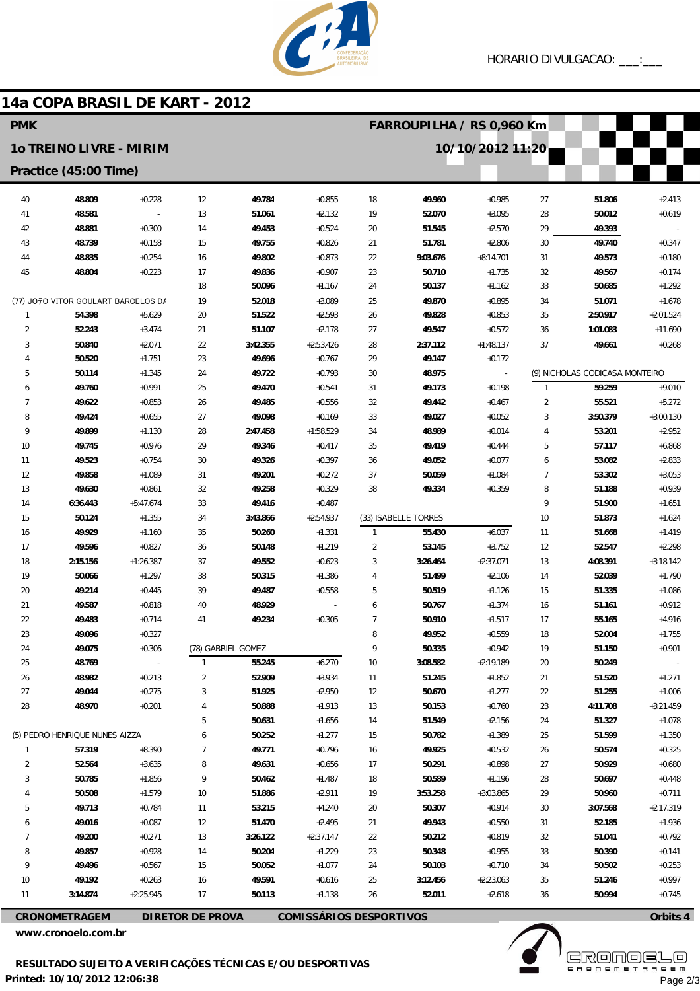

# 14a COPA BRASIL DE KART - 2012

| 10/10/2012 11:20<br>10 TREINO LIVRE - MIRIM<br>Practice (45:00 Time)<br>40<br>48.809<br>$+0.228$<br>49.784<br>$+0.855$<br>49.960<br>$+0.985$<br>27<br>51.806<br>$+2.413$<br>12<br>18<br>48.581<br>51.061<br>$+2.132$<br>52.070<br>$+3.095$<br>50.012<br>$+0.619$<br>41<br>13<br>19<br>28<br>48.881<br>$+0.300$<br>49.453<br>$+0.524$<br>$+2.570$<br>29<br>49.393<br>42<br>14<br>20<br>51.545<br>43<br>48.739<br>$+0.158$<br>49.755<br>$+0.826$<br>51.781<br>$+2.806$<br>30<br>49.740<br>$+0.347$<br>15<br>21<br>$+0.254$<br>49.802<br>$+0.873$<br>$+0.180$<br>44<br>48.835<br>16<br>22<br>9:03.676<br>$+8:14.701$<br>31<br>49.573<br>$+0.174$<br>45<br>48.804<br>$+0.223$<br>17<br>49.836<br>$+0.907$<br>23<br>50.710<br>$+1.735$<br>32<br>49.567<br>18<br>50.096<br>$+1.167$<br>24<br>50.137<br>$+1.162$<br>33<br>50.685<br>$+1.292$<br>19<br>52.018<br>(77) JO70 VITOR GOULART BARCELOS D/<br>$+3.089$<br>25<br>49.870<br>$+0.895$<br>34<br>51.071<br>$+1.678$<br>54.398<br>$+5.629$<br>20<br>$+2.593$<br>$+0.853$<br>$+2:01.524$<br>51.522<br>26<br>49.828<br>35<br>2:50.917<br>$\mathbf{1}$<br>$\overline{2}$<br>52.243<br>21<br>27<br>$+0.572$<br>$+3.474$<br>51.107<br>$+2.178$<br>49.547<br>36<br>1:01.083<br>$+11.690$<br>3<br>37<br>50.840<br>$+2.071$<br>22<br>3:42.355<br>$+2:53.426$<br>28<br>2:37.112<br>$+1:48.137$<br>49.661<br>$+0.268$<br>23<br>49.696<br>50.520<br>$+1.751$<br>$+0.767$<br>29<br>49.147<br>$+0.172$<br>$\overline{4}$<br>5<br>24<br>30<br>48.975<br>(9) NICHOLAS CODICASA MONTEIRO<br>50.114<br>$+1.345$<br>49.722<br>$+0.793$<br>$\overline{\phantom{a}}$<br>49.760<br>$+0.991$<br>25<br>49.470<br>$+0.198$<br>59.259<br>$+9.010$<br>$+0.541$<br>31<br>49.173<br>$\overline{1}$<br>6<br>26<br>$+5.272$<br>7<br>49.622<br>$+0.853$<br>49.485<br>$+0.556$<br>32<br>49.442<br>$+0.467$<br>$\overline{2}$<br>55.521<br>$+0.655$<br>27<br>$+0.052$<br>$+3:00.130$<br>8<br>49.424<br>49.098<br>$+0.169$<br>33<br>49.027<br>3<br>3:50.379<br>28<br>$+0.014$<br>$+2.952$<br>9<br>49.899<br>$+1.130$<br>2:47.458<br>+1:58.529<br>34<br>48.989<br>4<br>53.201<br>49.745<br>$+0.976$<br>29<br>49.346<br>49.419<br>$+0.444$<br>$+6.868$<br>10<br>$+0.417$<br>35<br>5<br>57.117<br>49.523<br>$+0.754$<br>30<br>49.326<br>$+0.397$<br>49.052<br>$+0.077$<br>53.082<br>$+2.833$<br>11<br>36<br>6<br>49.858<br>$+1.089$<br>31<br>49.201<br>$+0.272$<br>50.059<br>$+1.084$<br>53.302<br>$+3.053$<br>12<br>37<br>7<br>32<br>49.258<br>$+0.329$<br>$+0.359$<br>8<br>$+0.939$<br>13<br>49.630<br>$+0.861$<br>38<br>49.334<br>51.188<br>49.416<br>9<br>14<br>6:36.443<br>$+5:47.674$<br>33<br>$+0.487$<br>51.900<br>$+1.651$<br>50.124<br>3:43.866<br>(33) ISABELLE TORRES<br>$+1.624$<br>15<br>$+1.355$<br>34<br>$+2:54.937$<br>10<br>51.873<br>49.929<br>$+1.160$<br>35<br>50.260<br>$+1.331$<br>55.430<br>$+6.037$<br>$+1.419$<br>16<br>11<br>51.668<br>1<br>49.596<br>$+0.827$<br>50.148<br>$+3.752$<br>$+2.298$<br>17<br>36<br>$+1.219$<br>2<br>53.145<br>12<br>52.547<br>$+1:26.387$<br>37<br>49.552<br>3:26.464<br>$+2:37.071$<br>$+3:18.142$<br>18<br>2:15.156<br>$+0.623$<br>3<br>13<br>4:08.391<br>50.066<br>$+1.297$<br>38<br>50.315<br>51.499<br>$+2.106$<br>52.039<br>$+1.790$<br>19<br>$+1.386$<br>4<br>14<br>39<br>20<br>49.214<br>$+0.445$<br>49.487<br>$+0.558$<br>5<br>50.519<br>$+1.126$<br>15<br>51.335<br>$+1.086$<br>48.929<br>21<br>49.587<br>40<br>$+1.374$<br>$+0.912$<br>$+0.818$<br>6<br>50.767<br>16<br>51.161<br>41<br>49.234<br>$+0.305$<br>$\overline{7}$<br>22<br>49.483<br>$+0.714$<br>50.910<br>$+1.517$<br>17<br>$+4.916$<br>55.165<br>8<br>23<br>49.096<br>$+0.327$<br>49.952<br>$+0.559$<br>18<br>52.004<br>$+1.755$<br>49.075<br>$+0.306$<br>$+0.942$<br>19<br>24<br>(78) GABRIEL GOMEZ<br>50.335<br>51.150<br>$+0.901$<br>9<br>$+6.270$<br>25<br>48.769<br>55.245<br>10<br>3:08.582<br>$+2:19.189$<br>20<br>50.249<br>$\mathbf{1}$<br>26<br>48.982<br>$+0.213$<br>52.909<br>$+3.934$<br>51.245<br>$+1.852$<br>51.520<br>$+1.271$<br>2<br>11<br>21<br>27<br>49.044<br>$+0.275$<br>51.925<br>$+2.950$<br>50.670<br>$+1.277$<br>22<br>$+1.006$<br>3<br>12<br>51.255<br>48.970<br>$+0.201$<br>50.888<br>$+0.760$<br>$+3:21.459$<br>28<br>$+1.913$<br>13<br>50.153<br>23<br>4:11.708<br>4<br>$+2.156$<br>5<br>50.631<br>$+1.656$<br>14<br>51.549<br>24<br>51.327<br>$+1.078$<br>(5) PEDRO HENRIQUE NUNES AIZZA<br>50.252<br>$+1.277$<br>50.782<br>$+1.389$<br>25<br>51.599<br>$+1.350$<br>15<br>6<br>57.319<br>$+8.390$<br>49.771<br>$+0.796$<br>49.925<br>$+0.532$<br>$+0.325$<br>$\mathbf{1}$<br>7<br>16<br>26<br>50.574<br>52.564<br>$+3.635$<br>49.631<br>$+0.656$<br>50.291<br>$+0.898$<br>$+0.680$<br>2<br>8<br>17<br>27<br>50.929<br>50.785<br>$+1.856$<br>50.462<br>$+1.487$<br>50.589<br>$+1.196$<br>50.697<br>$+0.448$<br>3<br>9<br>18<br>28<br>50.508<br>$+1.579$<br>51.886<br>$+2.911$<br>3:53.258<br>$+3:03.865$<br>29<br>50.960<br>$+0.711$<br>10<br>19<br>49.713<br>$+0.784$<br>53.215<br>$+4.240$<br>50.307<br>$+0.914$<br>30<br>3:07.568<br>$+2:17.319$<br>5<br>11<br>20<br>49.016<br>$+0.087$<br>12<br>51.470<br>$+2.495$<br>49.943<br>$+0.550$<br>52.185<br>$+1.936$<br>21<br>31<br>6<br>49.200<br>$+0.271$<br>$+0.819$<br>51.041<br>$+0.792$<br>13<br>3:26.122<br>$+2:37.147$<br>22<br>50.212<br>32<br>7<br>49.857<br>$+0.928$<br>50.204<br>$+0.141$<br>14<br>$+1.229$<br>23<br>50.348<br>$+0.955$<br>33<br>50.390<br>8<br>49.496<br>50.052<br>$+0.710$<br>$+0.253$<br>9<br>$+0.567$<br>15<br>$+1.077$<br>24<br>50.103<br>34<br>50.502<br>49.192<br>$+0.263$<br>49.591<br>35<br>$+0.997$<br>10<br>16<br>$+0.616$<br>25<br>3:12.456<br>$+2:23.063$<br>51.246<br>3:14.874<br>$+2:25.945$<br>17<br>50.113<br>$+1.138$<br>26<br>52.011<br>$+2.618$<br>36<br>50.994<br>$+0.745$<br>11<br><b>COMISSÁRIOS DESPORTIVOS</b><br>Orbits 4<br><b>CRONOMETRAGEM</b><br><b>DIRETOR DE PROVA</b> | <b>PMK</b> |  |  |  |  |  | FARROUPILHA / RS 0,960 Km |  |  |  |  |  |
|-------------------------------------------------------------------------------------------------------------------------------------------------------------------------------------------------------------------------------------------------------------------------------------------------------------------------------------------------------------------------------------------------------------------------------------------------------------------------------------------------------------------------------------------------------------------------------------------------------------------------------------------------------------------------------------------------------------------------------------------------------------------------------------------------------------------------------------------------------------------------------------------------------------------------------------------------------------------------------------------------------------------------------------------------------------------------------------------------------------------------------------------------------------------------------------------------------------------------------------------------------------------------------------------------------------------------------------------------------------------------------------------------------------------------------------------------------------------------------------------------------------------------------------------------------------------------------------------------------------------------------------------------------------------------------------------------------------------------------------------------------------------------------------------------------------------------------------------------------------------------------------------------------------------------------------------------------------------------------------------------------------------------------------------------------------------------------------------------------------------------------------------------------------------------------------------------------------------------------------------------------------------------------------------------------------------------------------------------------------------------------------------------------------------------------------------------------------------------------------------------------------------------------------------------------------------------------------------------------------------------------------------------------------------------------------------------------------------------------------------------------------------------------------------------------------------------------------------------------------------------------------------------------------------------------------------------------------------------------------------------------------------------------------------------------------------------------------------------------------------------------------------------------------------------------------------------------------------------------------------------------------------------------------------------------------------------------------------------------------------------------------------------------------------------------------------------------------------------------------------------------------------------------------------------------------------------------------------------------------------------------------------------------------------------------------------------------------------------------------------------------------------------------------------------------------------------------------------------------------------------------------------------------------------------------------------------------------------------------------------------------------------------------------------------------------------------------------------------------------------------------------------------------------------------------------------------------------------------------------------------------------------------------------------------------------------------------------------------------------------------------------------------------------------------------------------------------------------------------------------------------------------------------------------------------------------------------------------------------------------------------------------------------------------------------------------------------------------------------------------------------------------------------------------------------------------------------------------------------------------------------------------------------------------------------------------------------------------------------------------------------------------------------------------------------------------------------------------------------------------------------------------------------------------------------------------------------------------------------------------------------------------------------------------------------------------------------------------------------------------------------------------------------------------------------------------------------------------------------------------------------------------------------------------------------------------------------------------------------------------------------------------------------------------------------------------------------------------------------------------------------------------------------------------------------------------------------------------------------|------------|--|--|--|--|--|---------------------------|--|--|--|--|--|
|                                                                                                                                                                                                                                                                                                                                                                                                                                                                                                                                                                                                                                                                                                                                                                                                                                                                                                                                                                                                                                                                                                                                                                                                                                                                                                                                                                                                                                                                                                                                                                                                                                                                                                                                                                                                                                                                                                                                                                                                                                                                                                                                                                                                                                                                                                                                                                                                                                                                                                                                                                                                                                                                                                                                                                                                                                                                                                                                                                                                                                                                                                                                                                                                                                                                                                                                                                                                                                                                                                                                                                                                                                                                                                                                                                                                                                                                                                                                                                                                                                                                                                                                                                                                                                                                                                                                                                                                                                                                                                                                                                                                                                                                                                                                                                                                                                                                                                                                                                                                                                                                                                                                                                                                                                                                                                                                                                                                                                                                                                                                                                                                                                                                                                                                                                                                                                                       |            |  |  |  |  |  |                           |  |  |  |  |  |
|                                                                                                                                                                                                                                                                                                                                                                                                                                                                                                                                                                                                                                                                                                                                                                                                                                                                                                                                                                                                                                                                                                                                                                                                                                                                                                                                                                                                                                                                                                                                                                                                                                                                                                                                                                                                                                                                                                                                                                                                                                                                                                                                                                                                                                                                                                                                                                                                                                                                                                                                                                                                                                                                                                                                                                                                                                                                                                                                                                                                                                                                                                                                                                                                                                                                                                                                                                                                                                                                                                                                                                                                                                                                                                                                                                                                                                                                                                                                                                                                                                                                                                                                                                                                                                                                                                                                                                                                                                                                                                                                                                                                                                                                                                                                                                                                                                                                                                                                                                                                                                                                                                                                                                                                                                                                                                                                                                                                                                                                                                                                                                                                                                                                                                                                                                                                                                                       |            |  |  |  |  |  |                           |  |  |  |  |  |
|                                                                                                                                                                                                                                                                                                                                                                                                                                                                                                                                                                                                                                                                                                                                                                                                                                                                                                                                                                                                                                                                                                                                                                                                                                                                                                                                                                                                                                                                                                                                                                                                                                                                                                                                                                                                                                                                                                                                                                                                                                                                                                                                                                                                                                                                                                                                                                                                                                                                                                                                                                                                                                                                                                                                                                                                                                                                                                                                                                                                                                                                                                                                                                                                                                                                                                                                                                                                                                                                                                                                                                                                                                                                                                                                                                                                                                                                                                                                                                                                                                                                                                                                                                                                                                                                                                                                                                                                                                                                                                                                                                                                                                                                                                                                                                                                                                                                                                                                                                                                                                                                                                                                                                                                                                                                                                                                                                                                                                                                                                                                                                                                                                                                                                                                                                                                                                                       |            |  |  |  |  |  |                           |  |  |  |  |  |
|                                                                                                                                                                                                                                                                                                                                                                                                                                                                                                                                                                                                                                                                                                                                                                                                                                                                                                                                                                                                                                                                                                                                                                                                                                                                                                                                                                                                                                                                                                                                                                                                                                                                                                                                                                                                                                                                                                                                                                                                                                                                                                                                                                                                                                                                                                                                                                                                                                                                                                                                                                                                                                                                                                                                                                                                                                                                                                                                                                                                                                                                                                                                                                                                                                                                                                                                                                                                                                                                                                                                                                                                                                                                                                                                                                                                                                                                                                                                                                                                                                                                                                                                                                                                                                                                                                                                                                                                                                                                                                                                                                                                                                                                                                                                                                                                                                                                                                                                                                                                                                                                                                                                                                                                                                                                                                                                                                                                                                                                                                                                                                                                                                                                                                                                                                                                                                                       |            |  |  |  |  |  |                           |  |  |  |  |  |
|                                                                                                                                                                                                                                                                                                                                                                                                                                                                                                                                                                                                                                                                                                                                                                                                                                                                                                                                                                                                                                                                                                                                                                                                                                                                                                                                                                                                                                                                                                                                                                                                                                                                                                                                                                                                                                                                                                                                                                                                                                                                                                                                                                                                                                                                                                                                                                                                                                                                                                                                                                                                                                                                                                                                                                                                                                                                                                                                                                                                                                                                                                                                                                                                                                                                                                                                                                                                                                                                                                                                                                                                                                                                                                                                                                                                                                                                                                                                                                                                                                                                                                                                                                                                                                                                                                                                                                                                                                                                                                                                                                                                                                                                                                                                                                                                                                                                                                                                                                                                                                                                                                                                                                                                                                                                                                                                                                                                                                                                                                                                                                                                                                                                                                                                                                                                                                                       |            |  |  |  |  |  |                           |  |  |  |  |  |
|                                                                                                                                                                                                                                                                                                                                                                                                                                                                                                                                                                                                                                                                                                                                                                                                                                                                                                                                                                                                                                                                                                                                                                                                                                                                                                                                                                                                                                                                                                                                                                                                                                                                                                                                                                                                                                                                                                                                                                                                                                                                                                                                                                                                                                                                                                                                                                                                                                                                                                                                                                                                                                                                                                                                                                                                                                                                                                                                                                                                                                                                                                                                                                                                                                                                                                                                                                                                                                                                                                                                                                                                                                                                                                                                                                                                                                                                                                                                                                                                                                                                                                                                                                                                                                                                                                                                                                                                                                                                                                                                                                                                                                                                                                                                                                                                                                                                                                                                                                                                                                                                                                                                                                                                                                                                                                                                                                                                                                                                                                                                                                                                                                                                                                                                                                                                                                                       |            |  |  |  |  |  |                           |  |  |  |  |  |
|                                                                                                                                                                                                                                                                                                                                                                                                                                                                                                                                                                                                                                                                                                                                                                                                                                                                                                                                                                                                                                                                                                                                                                                                                                                                                                                                                                                                                                                                                                                                                                                                                                                                                                                                                                                                                                                                                                                                                                                                                                                                                                                                                                                                                                                                                                                                                                                                                                                                                                                                                                                                                                                                                                                                                                                                                                                                                                                                                                                                                                                                                                                                                                                                                                                                                                                                                                                                                                                                                                                                                                                                                                                                                                                                                                                                                                                                                                                                                                                                                                                                                                                                                                                                                                                                                                                                                                                                                                                                                                                                                                                                                                                                                                                                                                                                                                                                                                                                                                                                                                                                                                                                                                                                                                                                                                                                                                                                                                                                                                                                                                                                                                                                                                                                                                                                                                                       |            |  |  |  |  |  |                           |  |  |  |  |  |
|                                                                                                                                                                                                                                                                                                                                                                                                                                                                                                                                                                                                                                                                                                                                                                                                                                                                                                                                                                                                                                                                                                                                                                                                                                                                                                                                                                                                                                                                                                                                                                                                                                                                                                                                                                                                                                                                                                                                                                                                                                                                                                                                                                                                                                                                                                                                                                                                                                                                                                                                                                                                                                                                                                                                                                                                                                                                                                                                                                                                                                                                                                                                                                                                                                                                                                                                                                                                                                                                                                                                                                                                                                                                                                                                                                                                                                                                                                                                                                                                                                                                                                                                                                                                                                                                                                                                                                                                                                                                                                                                                                                                                                                                                                                                                                                                                                                                                                                                                                                                                                                                                                                                                                                                                                                                                                                                                                                                                                                                                                                                                                                                                                                                                                                                                                                                                                                       |            |  |  |  |  |  |                           |  |  |  |  |  |
|                                                                                                                                                                                                                                                                                                                                                                                                                                                                                                                                                                                                                                                                                                                                                                                                                                                                                                                                                                                                                                                                                                                                                                                                                                                                                                                                                                                                                                                                                                                                                                                                                                                                                                                                                                                                                                                                                                                                                                                                                                                                                                                                                                                                                                                                                                                                                                                                                                                                                                                                                                                                                                                                                                                                                                                                                                                                                                                                                                                                                                                                                                                                                                                                                                                                                                                                                                                                                                                                                                                                                                                                                                                                                                                                                                                                                                                                                                                                                                                                                                                                                                                                                                                                                                                                                                                                                                                                                                                                                                                                                                                                                                                                                                                                                                                                                                                                                                                                                                                                                                                                                                                                                                                                                                                                                                                                                                                                                                                                                                                                                                                                                                                                                                                                                                                                                                                       |            |  |  |  |  |  |                           |  |  |  |  |  |
|                                                                                                                                                                                                                                                                                                                                                                                                                                                                                                                                                                                                                                                                                                                                                                                                                                                                                                                                                                                                                                                                                                                                                                                                                                                                                                                                                                                                                                                                                                                                                                                                                                                                                                                                                                                                                                                                                                                                                                                                                                                                                                                                                                                                                                                                                                                                                                                                                                                                                                                                                                                                                                                                                                                                                                                                                                                                                                                                                                                                                                                                                                                                                                                                                                                                                                                                                                                                                                                                                                                                                                                                                                                                                                                                                                                                                                                                                                                                                                                                                                                                                                                                                                                                                                                                                                                                                                                                                                                                                                                                                                                                                                                                                                                                                                                                                                                                                                                                                                                                                                                                                                                                                                                                                                                                                                                                                                                                                                                                                                                                                                                                                                                                                                                                                                                                                                                       |            |  |  |  |  |  |                           |  |  |  |  |  |
|                                                                                                                                                                                                                                                                                                                                                                                                                                                                                                                                                                                                                                                                                                                                                                                                                                                                                                                                                                                                                                                                                                                                                                                                                                                                                                                                                                                                                                                                                                                                                                                                                                                                                                                                                                                                                                                                                                                                                                                                                                                                                                                                                                                                                                                                                                                                                                                                                                                                                                                                                                                                                                                                                                                                                                                                                                                                                                                                                                                                                                                                                                                                                                                                                                                                                                                                                                                                                                                                                                                                                                                                                                                                                                                                                                                                                                                                                                                                                                                                                                                                                                                                                                                                                                                                                                                                                                                                                                                                                                                                                                                                                                                                                                                                                                                                                                                                                                                                                                                                                                                                                                                                                                                                                                                                                                                                                                                                                                                                                                                                                                                                                                                                                                                                                                                                                                                       |            |  |  |  |  |  |                           |  |  |  |  |  |
|                                                                                                                                                                                                                                                                                                                                                                                                                                                                                                                                                                                                                                                                                                                                                                                                                                                                                                                                                                                                                                                                                                                                                                                                                                                                                                                                                                                                                                                                                                                                                                                                                                                                                                                                                                                                                                                                                                                                                                                                                                                                                                                                                                                                                                                                                                                                                                                                                                                                                                                                                                                                                                                                                                                                                                                                                                                                                                                                                                                                                                                                                                                                                                                                                                                                                                                                                                                                                                                                                                                                                                                                                                                                                                                                                                                                                                                                                                                                                                                                                                                                                                                                                                                                                                                                                                                                                                                                                                                                                                                                                                                                                                                                                                                                                                                                                                                                                                                                                                                                                                                                                                                                                                                                                                                                                                                                                                                                                                                                                                                                                                                                                                                                                                                                                                                                                                                       |            |  |  |  |  |  |                           |  |  |  |  |  |
|                                                                                                                                                                                                                                                                                                                                                                                                                                                                                                                                                                                                                                                                                                                                                                                                                                                                                                                                                                                                                                                                                                                                                                                                                                                                                                                                                                                                                                                                                                                                                                                                                                                                                                                                                                                                                                                                                                                                                                                                                                                                                                                                                                                                                                                                                                                                                                                                                                                                                                                                                                                                                                                                                                                                                                                                                                                                                                                                                                                                                                                                                                                                                                                                                                                                                                                                                                                                                                                                                                                                                                                                                                                                                                                                                                                                                                                                                                                                                                                                                                                                                                                                                                                                                                                                                                                                                                                                                                                                                                                                                                                                                                                                                                                                                                                                                                                                                                                                                                                                                                                                                                                                                                                                                                                                                                                                                                                                                                                                                                                                                                                                                                                                                                                                                                                                                                                       |            |  |  |  |  |  |                           |  |  |  |  |  |
|                                                                                                                                                                                                                                                                                                                                                                                                                                                                                                                                                                                                                                                                                                                                                                                                                                                                                                                                                                                                                                                                                                                                                                                                                                                                                                                                                                                                                                                                                                                                                                                                                                                                                                                                                                                                                                                                                                                                                                                                                                                                                                                                                                                                                                                                                                                                                                                                                                                                                                                                                                                                                                                                                                                                                                                                                                                                                                                                                                                                                                                                                                                                                                                                                                                                                                                                                                                                                                                                                                                                                                                                                                                                                                                                                                                                                                                                                                                                                                                                                                                                                                                                                                                                                                                                                                                                                                                                                                                                                                                                                                                                                                                                                                                                                                                                                                                                                                                                                                                                                                                                                                                                                                                                                                                                                                                                                                                                                                                                                                                                                                                                                                                                                                                                                                                                                                                       |            |  |  |  |  |  |                           |  |  |  |  |  |
|                                                                                                                                                                                                                                                                                                                                                                                                                                                                                                                                                                                                                                                                                                                                                                                                                                                                                                                                                                                                                                                                                                                                                                                                                                                                                                                                                                                                                                                                                                                                                                                                                                                                                                                                                                                                                                                                                                                                                                                                                                                                                                                                                                                                                                                                                                                                                                                                                                                                                                                                                                                                                                                                                                                                                                                                                                                                                                                                                                                                                                                                                                                                                                                                                                                                                                                                                                                                                                                                                                                                                                                                                                                                                                                                                                                                                                                                                                                                                                                                                                                                                                                                                                                                                                                                                                                                                                                                                                                                                                                                                                                                                                                                                                                                                                                                                                                                                                                                                                                                                                                                                                                                                                                                                                                                                                                                                                                                                                                                                                                                                                                                                                                                                                                                                                                                                                                       |            |  |  |  |  |  |                           |  |  |  |  |  |
|                                                                                                                                                                                                                                                                                                                                                                                                                                                                                                                                                                                                                                                                                                                                                                                                                                                                                                                                                                                                                                                                                                                                                                                                                                                                                                                                                                                                                                                                                                                                                                                                                                                                                                                                                                                                                                                                                                                                                                                                                                                                                                                                                                                                                                                                                                                                                                                                                                                                                                                                                                                                                                                                                                                                                                                                                                                                                                                                                                                                                                                                                                                                                                                                                                                                                                                                                                                                                                                                                                                                                                                                                                                                                                                                                                                                                                                                                                                                                                                                                                                                                                                                                                                                                                                                                                                                                                                                                                                                                                                                                                                                                                                                                                                                                                                                                                                                                                                                                                                                                                                                                                                                                                                                                                                                                                                                                                                                                                                                                                                                                                                                                                                                                                                                                                                                                                                       |            |  |  |  |  |  |                           |  |  |  |  |  |
|                                                                                                                                                                                                                                                                                                                                                                                                                                                                                                                                                                                                                                                                                                                                                                                                                                                                                                                                                                                                                                                                                                                                                                                                                                                                                                                                                                                                                                                                                                                                                                                                                                                                                                                                                                                                                                                                                                                                                                                                                                                                                                                                                                                                                                                                                                                                                                                                                                                                                                                                                                                                                                                                                                                                                                                                                                                                                                                                                                                                                                                                                                                                                                                                                                                                                                                                                                                                                                                                                                                                                                                                                                                                                                                                                                                                                                                                                                                                                                                                                                                                                                                                                                                                                                                                                                                                                                                                                                                                                                                                                                                                                                                                                                                                                                                                                                                                                                                                                                                                                                                                                                                                                                                                                                                                                                                                                                                                                                                                                                                                                                                                                                                                                                                                                                                                                                                       |            |  |  |  |  |  |                           |  |  |  |  |  |
|                                                                                                                                                                                                                                                                                                                                                                                                                                                                                                                                                                                                                                                                                                                                                                                                                                                                                                                                                                                                                                                                                                                                                                                                                                                                                                                                                                                                                                                                                                                                                                                                                                                                                                                                                                                                                                                                                                                                                                                                                                                                                                                                                                                                                                                                                                                                                                                                                                                                                                                                                                                                                                                                                                                                                                                                                                                                                                                                                                                                                                                                                                                                                                                                                                                                                                                                                                                                                                                                                                                                                                                                                                                                                                                                                                                                                                                                                                                                                                                                                                                                                                                                                                                                                                                                                                                                                                                                                                                                                                                                                                                                                                                                                                                                                                                                                                                                                                                                                                                                                                                                                                                                                                                                                                                                                                                                                                                                                                                                                                                                                                                                                                                                                                                                                                                                                                                       |            |  |  |  |  |  |                           |  |  |  |  |  |
|                                                                                                                                                                                                                                                                                                                                                                                                                                                                                                                                                                                                                                                                                                                                                                                                                                                                                                                                                                                                                                                                                                                                                                                                                                                                                                                                                                                                                                                                                                                                                                                                                                                                                                                                                                                                                                                                                                                                                                                                                                                                                                                                                                                                                                                                                                                                                                                                                                                                                                                                                                                                                                                                                                                                                                                                                                                                                                                                                                                                                                                                                                                                                                                                                                                                                                                                                                                                                                                                                                                                                                                                                                                                                                                                                                                                                                                                                                                                                                                                                                                                                                                                                                                                                                                                                                                                                                                                                                                                                                                                                                                                                                                                                                                                                                                                                                                                                                                                                                                                                                                                                                                                                                                                                                                                                                                                                                                                                                                                                                                                                                                                                                                                                                                                                                                                                                                       |            |  |  |  |  |  |                           |  |  |  |  |  |
|                                                                                                                                                                                                                                                                                                                                                                                                                                                                                                                                                                                                                                                                                                                                                                                                                                                                                                                                                                                                                                                                                                                                                                                                                                                                                                                                                                                                                                                                                                                                                                                                                                                                                                                                                                                                                                                                                                                                                                                                                                                                                                                                                                                                                                                                                                                                                                                                                                                                                                                                                                                                                                                                                                                                                                                                                                                                                                                                                                                                                                                                                                                                                                                                                                                                                                                                                                                                                                                                                                                                                                                                                                                                                                                                                                                                                                                                                                                                                                                                                                                                                                                                                                                                                                                                                                                                                                                                                                                                                                                                                                                                                                                                                                                                                                                                                                                                                                                                                                                                                                                                                                                                                                                                                                                                                                                                                                                                                                                                                                                                                                                                                                                                                                                                                                                                                                                       |            |  |  |  |  |  |                           |  |  |  |  |  |
|                                                                                                                                                                                                                                                                                                                                                                                                                                                                                                                                                                                                                                                                                                                                                                                                                                                                                                                                                                                                                                                                                                                                                                                                                                                                                                                                                                                                                                                                                                                                                                                                                                                                                                                                                                                                                                                                                                                                                                                                                                                                                                                                                                                                                                                                                                                                                                                                                                                                                                                                                                                                                                                                                                                                                                                                                                                                                                                                                                                                                                                                                                                                                                                                                                                                                                                                                                                                                                                                                                                                                                                                                                                                                                                                                                                                                                                                                                                                                                                                                                                                                                                                                                                                                                                                                                                                                                                                                                                                                                                                                                                                                                                                                                                                                                                                                                                                                                                                                                                                                                                                                                                                                                                                                                                                                                                                                                                                                                                                                                                                                                                                                                                                                                                                                                                                                                                       |            |  |  |  |  |  |                           |  |  |  |  |  |
|                                                                                                                                                                                                                                                                                                                                                                                                                                                                                                                                                                                                                                                                                                                                                                                                                                                                                                                                                                                                                                                                                                                                                                                                                                                                                                                                                                                                                                                                                                                                                                                                                                                                                                                                                                                                                                                                                                                                                                                                                                                                                                                                                                                                                                                                                                                                                                                                                                                                                                                                                                                                                                                                                                                                                                                                                                                                                                                                                                                                                                                                                                                                                                                                                                                                                                                                                                                                                                                                                                                                                                                                                                                                                                                                                                                                                                                                                                                                                                                                                                                                                                                                                                                                                                                                                                                                                                                                                                                                                                                                                                                                                                                                                                                                                                                                                                                                                                                                                                                                                                                                                                                                                                                                                                                                                                                                                                                                                                                                                                                                                                                                                                                                                                                                                                                                                                                       |            |  |  |  |  |  |                           |  |  |  |  |  |
|                                                                                                                                                                                                                                                                                                                                                                                                                                                                                                                                                                                                                                                                                                                                                                                                                                                                                                                                                                                                                                                                                                                                                                                                                                                                                                                                                                                                                                                                                                                                                                                                                                                                                                                                                                                                                                                                                                                                                                                                                                                                                                                                                                                                                                                                                                                                                                                                                                                                                                                                                                                                                                                                                                                                                                                                                                                                                                                                                                                                                                                                                                                                                                                                                                                                                                                                                                                                                                                                                                                                                                                                                                                                                                                                                                                                                                                                                                                                                                                                                                                                                                                                                                                                                                                                                                                                                                                                                                                                                                                                                                                                                                                                                                                                                                                                                                                                                                                                                                                                                                                                                                                                                                                                                                                                                                                                                                                                                                                                                                                                                                                                                                                                                                                                                                                                                                                       |            |  |  |  |  |  |                           |  |  |  |  |  |
|                                                                                                                                                                                                                                                                                                                                                                                                                                                                                                                                                                                                                                                                                                                                                                                                                                                                                                                                                                                                                                                                                                                                                                                                                                                                                                                                                                                                                                                                                                                                                                                                                                                                                                                                                                                                                                                                                                                                                                                                                                                                                                                                                                                                                                                                                                                                                                                                                                                                                                                                                                                                                                                                                                                                                                                                                                                                                                                                                                                                                                                                                                                                                                                                                                                                                                                                                                                                                                                                                                                                                                                                                                                                                                                                                                                                                                                                                                                                                                                                                                                                                                                                                                                                                                                                                                                                                                                                                                                                                                                                                                                                                                                                                                                                                                                                                                                                                                                                                                                                                                                                                                                                                                                                                                                                                                                                                                                                                                                                                                                                                                                                                                                                                                                                                                                                                                                       |            |  |  |  |  |  |                           |  |  |  |  |  |
|                                                                                                                                                                                                                                                                                                                                                                                                                                                                                                                                                                                                                                                                                                                                                                                                                                                                                                                                                                                                                                                                                                                                                                                                                                                                                                                                                                                                                                                                                                                                                                                                                                                                                                                                                                                                                                                                                                                                                                                                                                                                                                                                                                                                                                                                                                                                                                                                                                                                                                                                                                                                                                                                                                                                                                                                                                                                                                                                                                                                                                                                                                                                                                                                                                                                                                                                                                                                                                                                                                                                                                                                                                                                                                                                                                                                                                                                                                                                                                                                                                                                                                                                                                                                                                                                                                                                                                                                                                                                                                                                                                                                                                                                                                                                                                                                                                                                                                                                                                                                                                                                                                                                                                                                                                                                                                                                                                                                                                                                                                                                                                                                                                                                                                                                                                                                                                                       |            |  |  |  |  |  |                           |  |  |  |  |  |
|                                                                                                                                                                                                                                                                                                                                                                                                                                                                                                                                                                                                                                                                                                                                                                                                                                                                                                                                                                                                                                                                                                                                                                                                                                                                                                                                                                                                                                                                                                                                                                                                                                                                                                                                                                                                                                                                                                                                                                                                                                                                                                                                                                                                                                                                                                                                                                                                                                                                                                                                                                                                                                                                                                                                                                                                                                                                                                                                                                                                                                                                                                                                                                                                                                                                                                                                                                                                                                                                                                                                                                                                                                                                                                                                                                                                                                                                                                                                                                                                                                                                                                                                                                                                                                                                                                                                                                                                                                                                                                                                                                                                                                                                                                                                                                                                                                                                                                                                                                                                                                                                                                                                                                                                                                                                                                                                                                                                                                                                                                                                                                                                                                                                                                                                                                                                                                                       |            |  |  |  |  |  |                           |  |  |  |  |  |
|                                                                                                                                                                                                                                                                                                                                                                                                                                                                                                                                                                                                                                                                                                                                                                                                                                                                                                                                                                                                                                                                                                                                                                                                                                                                                                                                                                                                                                                                                                                                                                                                                                                                                                                                                                                                                                                                                                                                                                                                                                                                                                                                                                                                                                                                                                                                                                                                                                                                                                                                                                                                                                                                                                                                                                                                                                                                                                                                                                                                                                                                                                                                                                                                                                                                                                                                                                                                                                                                                                                                                                                                                                                                                                                                                                                                                                                                                                                                                                                                                                                                                                                                                                                                                                                                                                                                                                                                                                                                                                                                                                                                                                                                                                                                                                                                                                                                                                                                                                                                                                                                                                                                                                                                                                                                                                                                                                                                                                                                                                                                                                                                                                                                                                                                                                                                                                                       |            |  |  |  |  |  |                           |  |  |  |  |  |
|                                                                                                                                                                                                                                                                                                                                                                                                                                                                                                                                                                                                                                                                                                                                                                                                                                                                                                                                                                                                                                                                                                                                                                                                                                                                                                                                                                                                                                                                                                                                                                                                                                                                                                                                                                                                                                                                                                                                                                                                                                                                                                                                                                                                                                                                                                                                                                                                                                                                                                                                                                                                                                                                                                                                                                                                                                                                                                                                                                                                                                                                                                                                                                                                                                                                                                                                                                                                                                                                                                                                                                                                                                                                                                                                                                                                                                                                                                                                                                                                                                                                                                                                                                                                                                                                                                                                                                                                                                                                                                                                                                                                                                                                                                                                                                                                                                                                                                                                                                                                                                                                                                                                                                                                                                                                                                                                                                                                                                                                                                                                                                                                                                                                                                                                                                                                                                                       |            |  |  |  |  |  |                           |  |  |  |  |  |
|                                                                                                                                                                                                                                                                                                                                                                                                                                                                                                                                                                                                                                                                                                                                                                                                                                                                                                                                                                                                                                                                                                                                                                                                                                                                                                                                                                                                                                                                                                                                                                                                                                                                                                                                                                                                                                                                                                                                                                                                                                                                                                                                                                                                                                                                                                                                                                                                                                                                                                                                                                                                                                                                                                                                                                                                                                                                                                                                                                                                                                                                                                                                                                                                                                                                                                                                                                                                                                                                                                                                                                                                                                                                                                                                                                                                                                                                                                                                                                                                                                                                                                                                                                                                                                                                                                                                                                                                                                                                                                                                                                                                                                                                                                                                                                                                                                                                                                                                                                                                                                                                                                                                                                                                                                                                                                                                                                                                                                                                                                                                                                                                                                                                                                                                                                                                                                                       |            |  |  |  |  |  |                           |  |  |  |  |  |
|                                                                                                                                                                                                                                                                                                                                                                                                                                                                                                                                                                                                                                                                                                                                                                                                                                                                                                                                                                                                                                                                                                                                                                                                                                                                                                                                                                                                                                                                                                                                                                                                                                                                                                                                                                                                                                                                                                                                                                                                                                                                                                                                                                                                                                                                                                                                                                                                                                                                                                                                                                                                                                                                                                                                                                                                                                                                                                                                                                                                                                                                                                                                                                                                                                                                                                                                                                                                                                                                                                                                                                                                                                                                                                                                                                                                                                                                                                                                                                                                                                                                                                                                                                                                                                                                                                                                                                                                                                                                                                                                                                                                                                                                                                                                                                                                                                                                                                                                                                                                                                                                                                                                                                                                                                                                                                                                                                                                                                                                                                                                                                                                                                                                                                                                                                                                                                                       |            |  |  |  |  |  |                           |  |  |  |  |  |
|                                                                                                                                                                                                                                                                                                                                                                                                                                                                                                                                                                                                                                                                                                                                                                                                                                                                                                                                                                                                                                                                                                                                                                                                                                                                                                                                                                                                                                                                                                                                                                                                                                                                                                                                                                                                                                                                                                                                                                                                                                                                                                                                                                                                                                                                                                                                                                                                                                                                                                                                                                                                                                                                                                                                                                                                                                                                                                                                                                                                                                                                                                                                                                                                                                                                                                                                                                                                                                                                                                                                                                                                                                                                                                                                                                                                                                                                                                                                                                                                                                                                                                                                                                                                                                                                                                                                                                                                                                                                                                                                                                                                                                                                                                                                                                                                                                                                                                                                                                                                                                                                                                                                                                                                                                                                                                                                                                                                                                                                                                                                                                                                                                                                                                                                                                                                                                                       |            |  |  |  |  |  |                           |  |  |  |  |  |
|                                                                                                                                                                                                                                                                                                                                                                                                                                                                                                                                                                                                                                                                                                                                                                                                                                                                                                                                                                                                                                                                                                                                                                                                                                                                                                                                                                                                                                                                                                                                                                                                                                                                                                                                                                                                                                                                                                                                                                                                                                                                                                                                                                                                                                                                                                                                                                                                                                                                                                                                                                                                                                                                                                                                                                                                                                                                                                                                                                                                                                                                                                                                                                                                                                                                                                                                                                                                                                                                                                                                                                                                                                                                                                                                                                                                                                                                                                                                                                                                                                                                                                                                                                                                                                                                                                                                                                                                                                                                                                                                                                                                                                                                                                                                                                                                                                                                                                                                                                                                                                                                                                                                                                                                                                                                                                                                                                                                                                                                                                                                                                                                                                                                                                                                                                                                                                                       |            |  |  |  |  |  |                           |  |  |  |  |  |
|                                                                                                                                                                                                                                                                                                                                                                                                                                                                                                                                                                                                                                                                                                                                                                                                                                                                                                                                                                                                                                                                                                                                                                                                                                                                                                                                                                                                                                                                                                                                                                                                                                                                                                                                                                                                                                                                                                                                                                                                                                                                                                                                                                                                                                                                                                                                                                                                                                                                                                                                                                                                                                                                                                                                                                                                                                                                                                                                                                                                                                                                                                                                                                                                                                                                                                                                                                                                                                                                                                                                                                                                                                                                                                                                                                                                                                                                                                                                                                                                                                                                                                                                                                                                                                                                                                                                                                                                                                                                                                                                                                                                                                                                                                                                                                                                                                                                                                                                                                                                                                                                                                                                                                                                                                                                                                                                                                                                                                                                                                                                                                                                                                                                                                                                                                                                                                                       |            |  |  |  |  |  |                           |  |  |  |  |  |
|                                                                                                                                                                                                                                                                                                                                                                                                                                                                                                                                                                                                                                                                                                                                                                                                                                                                                                                                                                                                                                                                                                                                                                                                                                                                                                                                                                                                                                                                                                                                                                                                                                                                                                                                                                                                                                                                                                                                                                                                                                                                                                                                                                                                                                                                                                                                                                                                                                                                                                                                                                                                                                                                                                                                                                                                                                                                                                                                                                                                                                                                                                                                                                                                                                                                                                                                                                                                                                                                                                                                                                                                                                                                                                                                                                                                                                                                                                                                                                                                                                                                                                                                                                                                                                                                                                                                                                                                                                                                                                                                                                                                                                                                                                                                                                                                                                                                                                                                                                                                                                                                                                                                                                                                                                                                                                                                                                                                                                                                                                                                                                                                                                                                                                                                                                                                                                                       |            |  |  |  |  |  |                           |  |  |  |  |  |
|                                                                                                                                                                                                                                                                                                                                                                                                                                                                                                                                                                                                                                                                                                                                                                                                                                                                                                                                                                                                                                                                                                                                                                                                                                                                                                                                                                                                                                                                                                                                                                                                                                                                                                                                                                                                                                                                                                                                                                                                                                                                                                                                                                                                                                                                                                                                                                                                                                                                                                                                                                                                                                                                                                                                                                                                                                                                                                                                                                                                                                                                                                                                                                                                                                                                                                                                                                                                                                                                                                                                                                                                                                                                                                                                                                                                                                                                                                                                                                                                                                                                                                                                                                                                                                                                                                                                                                                                                                                                                                                                                                                                                                                                                                                                                                                                                                                                                                                                                                                                                                                                                                                                                                                                                                                                                                                                                                                                                                                                                                                                                                                                                                                                                                                                                                                                                                                       |            |  |  |  |  |  |                           |  |  |  |  |  |
|                                                                                                                                                                                                                                                                                                                                                                                                                                                                                                                                                                                                                                                                                                                                                                                                                                                                                                                                                                                                                                                                                                                                                                                                                                                                                                                                                                                                                                                                                                                                                                                                                                                                                                                                                                                                                                                                                                                                                                                                                                                                                                                                                                                                                                                                                                                                                                                                                                                                                                                                                                                                                                                                                                                                                                                                                                                                                                                                                                                                                                                                                                                                                                                                                                                                                                                                                                                                                                                                                                                                                                                                                                                                                                                                                                                                                                                                                                                                                                                                                                                                                                                                                                                                                                                                                                                                                                                                                                                                                                                                                                                                                                                                                                                                                                                                                                                                                                                                                                                                                                                                                                                                                                                                                                                                                                                                                                                                                                                                                                                                                                                                                                                                                                                                                                                                                                                       |            |  |  |  |  |  |                           |  |  |  |  |  |
|                                                                                                                                                                                                                                                                                                                                                                                                                                                                                                                                                                                                                                                                                                                                                                                                                                                                                                                                                                                                                                                                                                                                                                                                                                                                                                                                                                                                                                                                                                                                                                                                                                                                                                                                                                                                                                                                                                                                                                                                                                                                                                                                                                                                                                                                                                                                                                                                                                                                                                                                                                                                                                                                                                                                                                                                                                                                                                                                                                                                                                                                                                                                                                                                                                                                                                                                                                                                                                                                                                                                                                                                                                                                                                                                                                                                                                                                                                                                                                                                                                                                                                                                                                                                                                                                                                                                                                                                                                                                                                                                                                                                                                                                                                                                                                                                                                                                                                                                                                                                                                                                                                                                                                                                                                                                                                                                                                                                                                                                                                                                                                                                                                                                                                                                                                                                                                                       |            |  |  |  |  |  |                           |  |  |  |  |  |
|                                                                                                                                                                                                                                                                                                                                                                                                                                                                                                                                                                                                                                                                                                                                                                                                                                                                                                                                                                                                                                                                                                                                                                                                                                                                                                                                                                                                                                                                                                                                                                                                                                                                                                                                                                                                                                                                                                                                                                                                                                                                                                                                                                                                                                                                                                                                                                                                                                                                                                                                                                                                                                                                                                                                                                                                                                                                                                                                                                                                                                                                                                                                                                                                                                                                                                                                                                                                                                                                                                                                                                                                                                                                                                                                                                                                                                                                                                                                                                                                                                                                                                                                                                                                                                                                                                                                                                                                                                                                                                                                                                                                                                                                                                                                                                                                                                                                                                                                                                                                                                                                                                                                                                                                                                                                                                                                                                                                                                                                                                                                                                                                                                                                                                                                                                                                                                                       |            |  |  |  |  |  |                           |  |  |  |  |  |
|                                                                                                                                                                                                                                                                                                                                                                                                                                                                                                                                                                                                                                                                                                                                                                                                                                                                                                                                                                                                                                                                                                                                                                                                                                                                                                                                                                                                                                                                                                                                                                                                                                                                                                                                                                                                                                                                                                                                                                                                                                                                                                                                                                                                                                                                                                                                                                                                                                                                                                                                                                                                                                                                                                                                                                                                                                                                                                                                                                                                                                                                                                                                                                                                                                                                                                                                                                                                                                                                                                                                                                                                                                                                                                                                                                                                                                                                                                                                                                                                                                                                                                                                                                                                                                                                                                                                                                                                                                                                                                                                                                                                                                                                                                                                                                                                                                                                                                                                                                                                                                                                                                                                                                                                                                                                                                                                                                                                                                                                                                                                                                                                                                                                                                                                                                                                                                                       |            |  |  |  |  |  |                           |  |  |  |  |  |
|                                                                                                                                                                                                                                                                                                                                                                                                                                                                                                                                                                                                                                                                                                                                                                                                                                                                                                                                                                                                                                                                                                                                                                                                                                                                                                                                                                                                                                                                                                                                                                                                                                                                                                                                                                                                                                                                                                                                                                                                                                                                                                                                                                                                                                                                                                                                                                                                                                                                                                                                                                                                                                                                                                                                                                                                                                                                                                                                                                                                                                                                                                                                                                                                                                                                                                                                                                                                                                                                                                                                                                                                                                                                                                                                                                                                                                                                                                                                                                                                                                                                                                                                                                                                                                                                                                                                                                                                                                                                                                                                                                                                                                                                                                                                                                                                                                                                                                                                                                                                                                                                                                                                                                                                                                                                                                                                                                                                                                                                                                                                                                                                                                                                                                                                                                                                                                                       |            |  |  |  |  |  |                           |  |  |  |  |  |
|                                                                                                                                                                                                                                                                                                                                                                                                                                                                                                                                                                                                                                                                                                                                                                                                                                                                                                                                                                                                                                                                                                                                                                                                                                                                                                                                                                                                                                                                                                                                                                                                                                                                                                                                                                                                                                                                                                                                                                                                                                                                                                                                                                                                                                                                                                                                                                                                                                                                                                                                                                                                                                                                                                                                                                                                                                                                                                                                                                                                                                                                                                                                                                                                                                                                                                                                                                                                                                                                                                                                                                                                                                                                                                                                                                                                                                                                                                                                                                                                                                                                                                                                                                                                                                                                                                                                                                                                                                                                                                                                                                                                                                                                                                                                                                                                                                                                                                                                                                                                                                                                                                                                                                                                                                                                                                                                                                                                                                                                                                                                                                                                                                                                                                                                                                                                                                                       |            |  |  |  |  |  |                           |  |  |  |  |  |
|                                                                                                                                                                                                                                                                                                                                                                                                                                                                                                                                                                                                                                                                                                                                                                                                                                                                                                                                                                                                                                                                                                                                                                                                                                                                                                                                                                                                                                                                                                                                                                                                                                                                                                                                                                                                                                                                                                                                                                                                                                                                                                                                                                                                                                                                                                                                                                                                                                                                                                                                                                                                                                                                                                                                                                                                                                                                                                                                                                                                                                                                                                                                                                                                                                                                                                                                                                                                                                                                                                                                                                                                                                                                                                                                                                                                                                                                                                                                                                                                                                                                                                                                                                                                                                                                                                                                                                                                                                                                                                                                                                                                                                                                                                                                                                                                                                                                                                                                                                                                                                                                                                                                                                                                                                                                                                                                                                                                                                                                                                                                                                                                                                                                                                                                                                                                                                                       |            |  |  |  |  |  |                           |  |  |  |  |  |
|                                                                                                                                                                                                                                                                                                                                                                                                                                                                                                                                                                                                                                                                                                                                                                                                                                                                                                                                                                                                                                                                                                                                                                                                                                                                                                                                                                                                                                                                                                                                                                                                                                                                                                                                                                                                                                                                                                                                                                                                                                                                                                                                                                                                                                                                                                                                                                                                                                                                                                                                                                                                                                                                                                                                                                                                                                                                                                                                                                                                                                                                                                                                                                                                                                                                                                                                                                                                                                                                                                                                                                                                                                                                                                                                                                                                                                                                                                                                                                                                                                                                                                                                                                                                                                                                                                                                                                                                                                                                                                                                                                                                                                                                                                                                                                                                                                                                                                                                                                                                                                                                                                                                                                                                                                                                                                                                                                                                                                                                                                                                                                                                                                                                                                                                                                                                                                                       |            |  |  |  |  |  |                           |  |  |  |  |  |
|                                                                                                                                                                                                                                                                                                                                                                                                                                                                                                                                                                                                                                                                                                                                                                                                                                                                                                                                                                                                                                                                                                                                                                                                                                                                                                                                                                                                                                                                                                                                                                                                                                                                                                                                                                                                                                                                                                                                                                                                                                                                                                                                                                                                                                                                                                                                                                                                                                                                                                                                                                                                                                                                                                                                                                                                                                                                                                                                                                                                                                                                                                                                                                                                                                                                                                                                                                                                                                                                                                                                                                                                                                                                                                                                                                                                                                                                                                                                                                                                                                                                                                                                                                                                                                                                                                                                                                                                                                                                                                                                                                                                                                                                                                                                                                                                                                                                                                                                                                                                                                                                                                                                                                                                                                                                                                                                                                                                                                                                                                                                                                                                                                                                                                                                                                                                                                                       |            |  |  |  |  |  |                           |  |  |  |  |  |
|                                                                                                                                                                                                                                                                                                                                                                                                                                                                                                                                                                                                                                                                                                                                                                                                                                                                                                                                                                                                                                                                                                                                                                                                                                                                                                                                                                                                                                                                                                                                                                                                                                                                                                                                                                                                                                                                                                                                                                                                                                                                                                                                                                                                                                                                                                                                                                                                                                                                                                                                                                                                                                                                                                                                                                                                                                                                                                                                                                                                                                                                                                                                                                                                                                                                                                                                                                                                                                                                                                                                                                                                                                                                                                                                                                                                                                                                                                                                                                                                                                                                                                                                                                                                                                                                                                                                                                                                                                                                                                                                                                                                                                                                                                                                                                                                                                                                                                                                                                                                                                                                                                                                                                                                                                                                                                                                                                                                                                                                                                                                                                                                                                                                                                                                                                                                                                                       |            |  |  |  |  |  |                           |  |  |  |  |  |
|                                                                                                                                                                                                                                                                                                                                                                                                                                                                                                                                                                                                                                                                                                                                                                                                                                                                                                                                                                                                                                                                                                                                                                                                                                                                                                                                                                                                                                                                                                                                                                                                                                                                                                                                                                                                                                                                                                                                                                                                                                                                                                                                                                                                                                                                                                                                                                                                                                                                                                                                                                                                                                                                                                                                                                                                                                                                                                                                                                                                                                                                                                                                                                                                                                                                                                                                                                                                                                                                                                                                                                                                                                                                                                                                                                                                                                                                                                                                                                                                                                                                                                                                                                                                                                                                                                                                                                                                                                                                                                                                                                                                                                                                                                                                                                                                                                                                                                                                                                                                                                                                                                                                                                                                                                                                                                                                                                                                                                                                                                                                                                                                                                                                                                                                                                                                                                                       |            |  |  |  |  |  |                           |  |  |  |  |  |
|                                                                                                                                                                                                                                                                                                                                                                                                                                                                                                                                                                                                                                                                                                                                                                                                                                                                                                                                                                                                                                                                                                                                                                                                                                                                                                                                                                                                                                                                                                                                                                                                                                                                                                                                                                                                                                                                                                                                                                                                                                                                                                                                                                                                                                                                                                                                                                                                                                                                                                                                                                                                                                                                                                                                                                                                                                                                                                                                                                                                                                                                                                                                                                                                                                                                                                                                                                                                                                                                                                                                                                                                                                                                                                                                                                                                                                                                                                                                                                                                                                                                                                                                                                                                                                                                                                                                                                                                                                                                                                                                                                                                                                                                                                                                                                                                                                                                                                                                                                                                                                                                                                                                                                                                                                                                                                                                                                                                                                                                                                                                                                                                                                                                                                                                                                                                                                                       |            |  |  |  |  |  |                           |  |  |  |  |  |
|                                                                                                                                                                                                                                                                                                                                                                                                                                                                                                                                                                                                                                                                                                                                                                                                                                                                                                                                                                                                                                                                                                                                                                                                                                                                                                                                                                                                                                                                                                                                                                                                                                                                                                                                                                                                                                                                                                                                                                                                                                                                                                                                                                                                                                                                                                                                                                                                                                                                                                                                                                                                                                                                                                                                                                                                                                                                                                                                                                                                                                                                                                                                                                                                                                                                                                                                                                                                                                                                                                                                                                                                                                                                                                                                                                                                                                                                                                                                                                                                                                                                                                                                                                                                                                                                                                                                                                                                                                                                                                                                                                                                                                                                                                                                                                                                                                                                                                                                                                                                                                                                                                                                                                                                                                                                                                                                                                                                                                                                                                                                                                                                                                                                                                                                                                                                                                                       |            |  |  |  |  |  |                           |  |  |  |  |  |
|                                                                                                                                                                                                                                                                                                                                                                                                                                                                                                                                                                                                                                                                                                                                                                                                                                                                                                                                                                                                                                                                                                                                                                                                                                                                                                                                                                                                                                                                                                                                                                                                                                                                                                                                                                                                                                                                                                                                                                                                                                                                                                                                                                                                                                                                                                                                                                                                                                                                                                                                                                                                                                                                                                                                                                                                                                                                                                                                                                                                                                                                                                                                                                                                                                                                                                                                                                                                                                                                                                                                                                                                                                                                                                                                                                                                                                                                                                                                                                                                                                                                                                                                                                                                                                                                                                                                                                                                                                                                                                                                                                                                                                                                                                                                                                                                                                                                                                                                                                                                                                                                                                                                                                                                                                                                                                                                                                                                                                                                                                                                                                                                                                                                                                                                                                                                                                                       |            |  |  |  |  |  |                           |  |  |  |  |  |
|                                                                                                                                                                                                                                                                                                                                                                                                                                                                                                                                                                                                                                                                                                                                                                                                                                                                                                                                                                                                                                                                                                                                                                                                                                                                                                                                                                                                                                                                                                                                                                                                                                                                                                                                                                                                                                                                                                                                                                                                                                                                                                                                                                                                                                                                                                                                                                                                                                                                                                                                                                                                                                                                                                                                                                                                                                                                                                                                                                                                                                                                                                                                                                                                                                                                                                                                                                                                                                                                                                                                                                                                                                                                                                                                                                                                                                                                                                                                                                                                                                                                                                                                                                                                                                                                                                                                                                                                                                                                                                                                                                                                                                                                                                                                                                                                                                                                                                                                                                                                                                                                                                                                                                                                                                                                                                                                                                                                                                                                                                                                                                                                                                                                                                                                                                                                                                                       |            |  |  |  |  |  |                           |  |  |  |  |  |
|                                                                                                                                                                                                                                                                                                                                                                                                                                                                                                                                                                                                                                                                                                                                                                                                                                                                                                                                                                                                                                                                                                                                                                                                                                                                                                                                                                                                                                                                                                                                                                                                                                                                                                                                                                                                                                                                                                                                                                                                                                                                                                                                                                                                                                                                                                                                                                                                                                                                                                                                                                                                                                                                                                                                                                                                                                                                                                                                                                                                                                                                                                                                                                                                                                                                                                                                                                                                                                                                                                                                                                                                                                                                                                                                                                                                                                                                                                                                                                                                                                                                                                                                                                                                                                                                                                                                                                                                                                                                                                                                                                                                                                                                                                                                                                                                                                                                                                                                                                                                                                                                                                                                                                                                                                                                                                                                                                                                                                                                                                                                                                                                                                                                                                                                                                                                                                                       |            |  |  |  |  |  |                           |  |  |  |  |  |
|                                                                                                                                                                                                                                                                                                                                                                                                                                                                                                                                                                                                                                                                                                                                                                                                                                                                                                                                                                                                                                                                                                                                                                                                                                                                                                                                                                                                                                                                                                                                                                                                                                                                                                                                                                                                                                                                                                                                                                                                                                                                                                                                                                                                                                                                                                                                                                                                                                                                                                                                                                                                                                                                                                                                                                                                                                                                                                                                                                                                                                                                                                                                                                                                                                                                                                                                                                                                                                                                                                                                                                                                                                                                                                                                                                                                                                                                                                                                                                                                                                                                                                                                                                                                                                                                                                                                                                                                                                                                                                                                                                                                                                                                                                                                                                                                                                                                                                                                                                                                                                                                                                                                                                                                                                                                                                                                                                                                                                                                                                                                                                                                                                                                                                                                                                                                                                                       |            |  |  |  |  |  |                           |  |  |  |  |  |

www.cronoelo.com.br

**EKÖUÖELE** 

Page 2/3